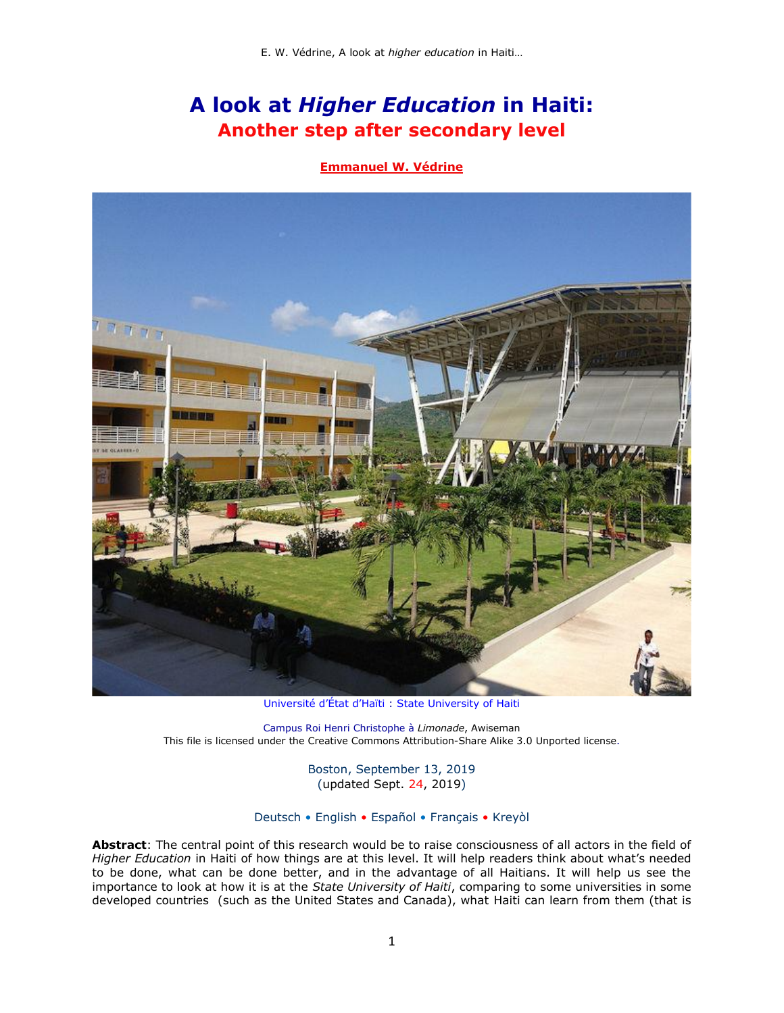# **A look at** *Higher Education* **in Haiti: Another step after secondary level**

### **[Emmanuel W. Védrine](http://www.potomitan.info/vedrine/index.php)**



[Université d'État d'Haïti](https://en.wikipedia.org/wiki/Universit%C3%A9_d%27%C3%89tat_d%27Ha%C3%AFti) : [State University of Haiti](https://en.wikipedia.org/wiki/Universit%C3%A9_d%27%C3%89tat_d%27Ha%C3%AFti)

Campus Roi Henri Christophe à *Limonade*, [Awiseman](https://commons.wikimedia.org/wiki/User:Awiseman) This file is licensed under the [Creative Commons](https://en.wikipedia.org/wiki/en:Creative_Commons) [Attribution-Share Alike 3.0 Unported](https://creativecommons.org/licenses/by-sa/3.0/deed.en) license.

> Boston, September 13, 2019 (updated Sept. 24, 2019)

### Deutsch • English • Español • Français • Kreyòl

**Abstract**: The central point of this research would be to raise consciousness of all actors in the field of *Higher Education* in Haiti of how things are at this level. It will help readers think about what's needed to be done, what can be done better, and in the advantage of all Haitians. It will help us see the importance to look at how it is at the *[State University of Haiti](http://www.ueh.edu.ht/)*, comparing to some universities in some developed countries (such as the United States and Canada), what Haiti can learn from them (that is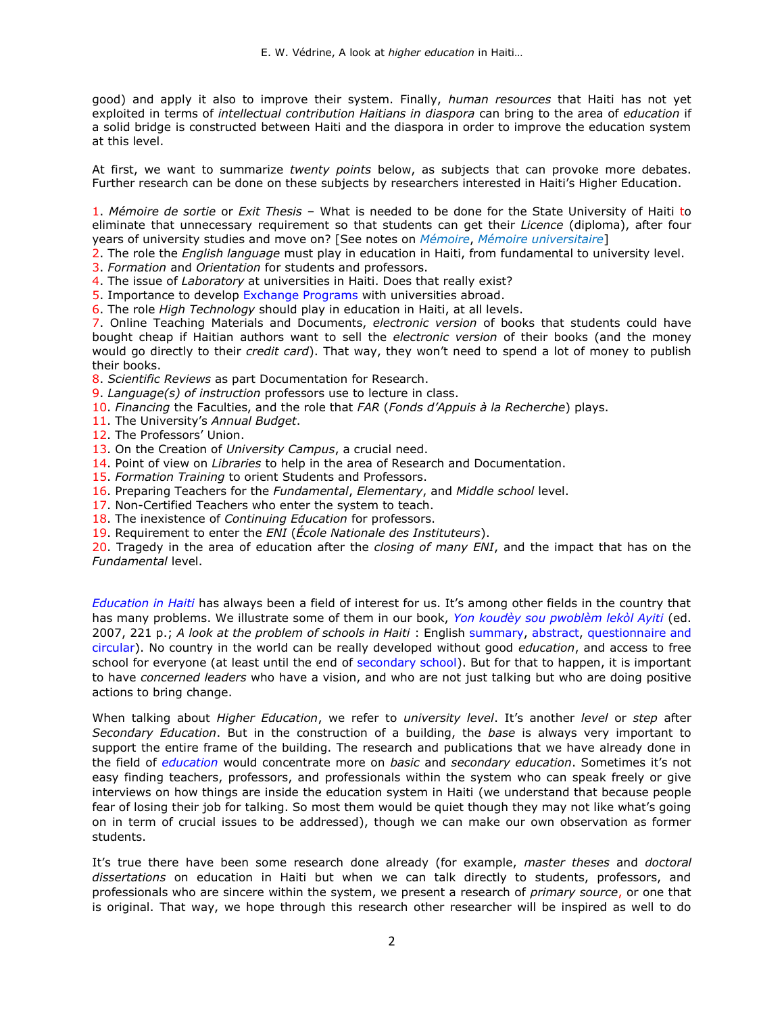good) and apply it also to improve their system. Finally, *human resources* that Haiti has not yet exploited in terms of *intellectual contribution Haitians in diaspora* can bring to the area of *education* if a solid bridge is constructed between Haiti and the diaspora in order to improve the education system at this level.

At first, we want to summarize *twenty points* below, as subjects that can provoke more debates. Further research can be done on these subjects by researchers interested in Haiti's Higher Education.

1. *Mémoire de sortie* or *Exit Thesis* – What is needed to be done for the State University of Haiti to eliminate that unnecessary requirement so that students can get their *Licence* (diploma), after four years of university studies and move on? [See notes on *[Mémoire](https://fr.wikipedia.org/wiki/M%C3%A9moire_(%C3%A9crit))*, *[Mémoire universitaire](https://fr.wikipedia.org/wiki/M%C3%A9moire_(%C3%A9crit)#Le_m%C3%A9moire_universitaire)*]

2. The role the *English language* must play in education in Haiti, from fundamental to university level.

3. *Formation* and *Orientation* for students and professors.

- 4. The issue of *Laboratory* at universities in Haiti. Does that really exist?
- 5. Importance to develop [Exchange Programs](https://www.etudionsaletranger.fr/etudier-a-l-etranger/les-programmes-d-echanges-internationaux-pour-etudier-a-l-etranger) with universities abroad.

6. The role *High Technology* should play in education in Haiti, at all levels.

7. Online Teaching Materials and Documents, *electronic version* of books that students could have bought cheap if Haitian authors want to sell the *electronic version* of their books (and the money would go directly to their *credit card*). That way, they won't need to spend a lot of money to publish their books.

- 8. *Scientific Reviews* as part Documentation for Research.
- 9. *Language(s) of instruction* professors use to lecture in class.
- 10. *Financing* the Faculties, and the role that *FAR* (*Fonds d'Appuis à la Recherche*) plays.
- 11. The University's *Annual Budget*.
- 12. The Professors' Union.
- 13. On the Creation of *University Campus*, a crucial need.
- 14. Point of view on *Libraries* to help in the area of Research and Documentation.
- 15. *Formation Training* to orient Students and Professors.
- 16. Preparing Teachers for the *Fundamental*, *Elementary*, and *Middle school* level.
- 17. Non-Certified Teachers who enter the system to teach.
- 18. The inexistence of *Continuing Education* for professors.
- 19. Requirement to enter the *ENI* (*École Nationale des Instituteurs*).

20. Tragedy in the area of education after the *closing of many ENI*, and the impact that has on the *Fundamental* level.

*[Education in Haiti](http://www.potomitan.info/vedrine/index.php#13)* has always been a field of interest for us. It's among other fields in the country that has many problems. We illustrate some of them in our book, *[Yon koudèy sou pwoblèm lekòl Ayiti](http://www.potomitan.info/vedrine/koudey.php)* (ed. 2007, 221 p.; *A look at the problem of schools in Haiti* : English [summary,](http://www.potomitan.info/vedrine/koudey.php#a) [abstract,](http://www.potomitan.info/vedrine/abstract.php#2) [questionnaire and](http://www.potomitan.info/vedrine/school2.php)  [circular\)](http://www.potomitan.info/vedrine/school2.php). No country in the world can be really developed without good *education*, and access to free school for everyone (at least until the end of [secondary school\)](http://www.potomitan.info/vedrine/diplom.php). But for that to happen, it is important to have *concerned leaders* who have a vision, and who are not just talking but who are doing positive actions to bring change.

When talking about *Higher Education*, we refer to *university level*. It's another *level* or *step* after *Secondary Education*. But in the construction of a building, the *base* is always very important to support the entire frame of the building. The research and publications that we have already done in the field of *[education](http://www.potomitan.info/vedrine/index.php#13)* would concentrate more on *basic* and *secondary education*. Sometimes it's not easy finding teachers, professors, and professionals within the system who can speak freely or give interviews on how things are inside the education system in Haiti (we understand that because people fear of losing their job for talking. So most them would be quiet though they may not like what's going on in term of crucial issues to be addressed), though we can make our own observation as former students.

It's true there have been some research done already (for example, *master theses* and *doctoral dissertations* on education in Haiti but when we can talk directly to students, professors, and professionals who are sincere within the system, we present a research of *primary source*, or one that is original. That way, we hope through this research other researcher will be inspired as well to do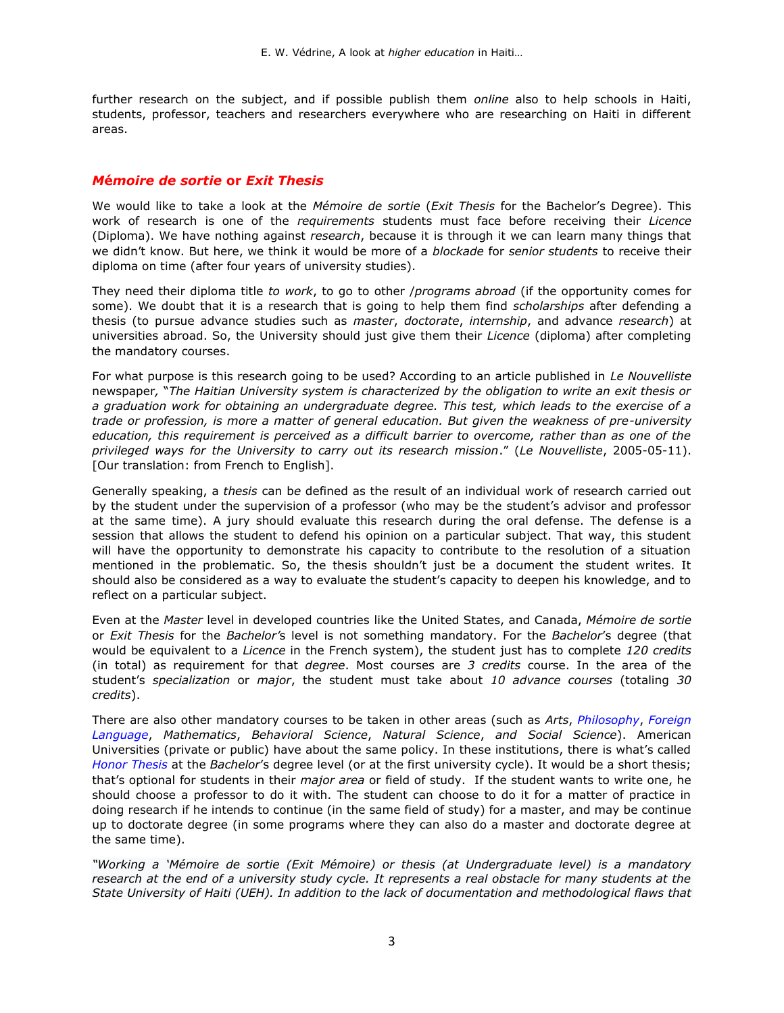further research on the subject, and if possible publish them *online* also to help schools in Haiti, students, professor, teachers and researchers everywhere who are researching on Haiti in different areas.

### *M***é***moire de sortie* **or** *Exit Thesis*

We would like to take a look at the *Mémoire de sortie* (*Exit Thesis* for the Bachelor's Degree). This work of research is one of the *requirements* students must face before receiving their *Licence* (Diploma). We have nothing against *research*, because it is through it we can learn many things that we didn't know. But here, we think it would be more of a *blockade* for *senior students* to receive their diploma on time (after four years of university studies).

They need their diploma title *to work*, to go to other /*programs abroad* (if the opportunity comes for some). We doubt that it is a research that is going to help them find *scholarships* after defending a thesis (to pursue advance studies such as *master*, *doctorate*, *internship*, and advance *research*) at universities abroad. So, the University should just give them their *Licence* (diploma) after completing the mandatory courses.

For what purpose is this research going to be used? According to an article published in *Le Nouvelliste*  newspaper*,* "*The Haitian University system is characterized by the obligation to write an exit thesis or a graduation work for obtaining an undergraduate degree. This test, which leads to the exercise of a trade or profession, is more a matter of general education. But given the weakness of pre-university education, this requirement is perceived as a difficult barrier to overcome, rather than as one of the privileged ways for the University to carry out its research mission*." (*Le Nouvelliste*, 2005-05-11). [Our translation: from French to English].

Generally speaking, a *thesis* can b*e* defined as the result of an individual work of research carried out by the student under the supervision of a professor (who may be the student's advisor and professor at the same time). A jury should evaluate this research during the oral defense. The defense is a session that allows the student to defend his opinion on a particular subject. That way, this student will have the opportunity to demonstrate his capacity to contribute to the resolution of a situation mentioned in the problematic. So, the thesis shouldn't just be a document the student writes. It should also be considered as a way to evaluate the student's capacity to deepen his knowledge, and to reflect on a particular subject.

Even at the *Master* level in developed countries like the United States, and Canada, *Mémoire de sortie* or *Exit Thesis* for the *Bachelor'*s level is not something mandatory. For the *Bachelor*'s degree (that would be equivalent to a *Licence* in the French system), the student just has to complete *120 credits* (in total) as requirement for that *degree*. Most courses are *3 credits* course. In the area of the student's *specialization* or *major*, the student must take about *10 advance courses* (totaling *30 credits*).

There are also other mandatory courses to be taken in other areas (such as *Arts*, *[Philosophy](https://fr.wikipedia.org/wiki/Philosophie)*, *[Foreign](http://www.potomitan.info/vedrine/reta.php)  [Language](http://www.potomitan.info/vedrine/reta.php)*, *Mathematics*, *Behavioral Science*, *Natural Science*, *and Social Science*). American Universities (private or public) have about the same policy. In these institutions, there is what's called *[Honor Thesis](https://writingcenter.unc.edu/tips-and-tools/honors-theses/)* at the *Bachelor*'s degree level (or at the first university cycle). It would be a short thesis; that's optional for students in their *major area* or field of study. If the student wants to write one, he should choose a professor to do it with. The student can choose to do it for a matter of practice in doing research if he intends to continue (in the same field of study) for a master, and may be continue up to doctorate degree (in some programs where they can also do a master and doctorate degree at the same time).

*"Working a 'Mémoire de sortie (Exit Mémoire) or thesis (at Undergraduate level) is a mandatory research at the end of a university study cycle. It represents a real obstacle for many students at the State University of Haiti (UEH). In addition to the lack of documentation and methodological flaws that*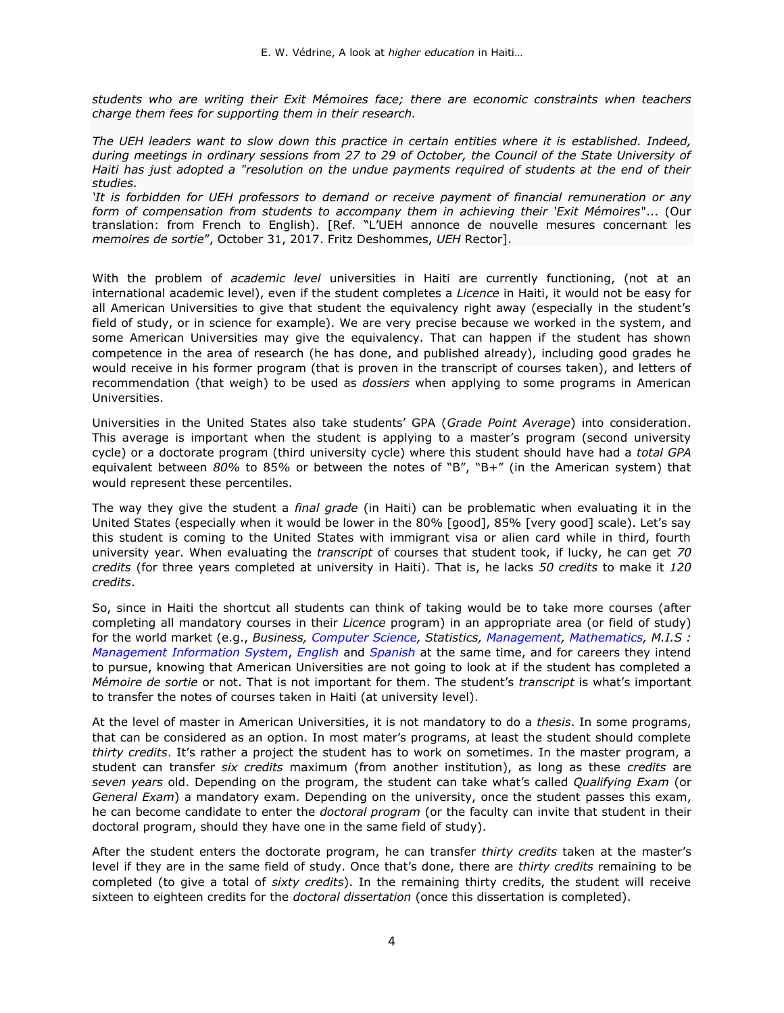*students who are writing their Exit Mémoires face; there are economic constraints when teachers charge them fees for supporting them in their research.*

*The UEH leaders want to slow down this practice in certain entities where it is established. Indeed, during meetings in ordinary sessions from 27 to 29 of October, the Council of the State University of Haiti has just adopted a "resolution on the undue payments required of students at the end of their studies.*

*'It is forbidden for UEH professors to demand or receive payment of financial remuneration or any form of compensation from students to accompany them in achieving their 'Exit Mémoires*"... (Our translation: from French to English). [Ref. "L'UEH annonce de nouvelle mesures concernant les *memoires de sortie*", October 31, 2017. Fritz Deshommes, *UEH* Rector].

With the problem of *academic level* universities in Haiti are currently functioning, (not at an international academic level), even if the student completes a *Licence* in Haiti, it would not be easy for all American Universities to give that student the equivalency right away (especially in the student's field of study, or in science for example). We are very precise because we worked in the system, and some American Universities may give the equivalency. That can happen if the student has shown competence in the area of research (he has done, and published already), including good grades he would receive in his former program (that is proven in the transcript of courses taken), and letters of recommendation (that weigh) to be used as *dossiers* when applying to some programs in American Universities.

Universities in the United States also take students' GPA (*Grade Point Average*) into consideration. This average is important when the student is applying to a master's program (second university cycle) or a doctorate program (third university cycle) where this student should have had a *total GPA*  equivalent between *80%* to 85*%* or between the notes of "B", "B+" (in the American system) that would represent these percentiles.

The way they give the student a *final grade* (in Haiti) can be problematic when evaluating it in the United States (especially when it would be lower in the 80% [good], 85% [very good] scale). Let's say this student is coming to the United States with immigrant visa or alien card while in third, fourth university year. When evaluating the *transcript* of courses that student took, if lucky, he can get *70 credits* (for three years completed at university in Haiti). That is, he lacks *50 credits* to make it *120 credits*.

So, since in Haiti the shortcut all students can think of taking would be to take more courses (after completing all mandatory courses in their *Licence* program) in an appropriate area (or field of study) for the world market (e.g., *Business, [Computer Science,](http://www.devenir-informaticien.com/diplome.html) Statistics, [Management,](https://www4.fsa.ulaval.ca/) [Mathematics,](https://dms.umontreal.ca/en/) M.I.S : [Management Information System](https://mays.tamu.edu/department-of-information-and-operations-management/management-information-systems/)*, *[English](https://www.doe.in.gov/elme/non-english-speaking-program-nesp)* and *[Spanish](https://www.colegioespana.com/en/)* at the same time, and for careers they intend to pursue, knowing that American Universities are not going to look at if the student has completed a *Mémoire de sortie* or not. That is not important for them. The student's *transcript* is what's important to transfer the notes of courses taken in Haiti (at university level).

At the level of master in American Universities, it is not mandatory to do a *thesis*. In some programs, that can be considered as an option. In most mater's programs, at least the student should complete *thirty credits*. It's rather a project the student has to work on sometimes. In the master program, a student can transfer *six credits* maximum (from another institution), as long as these *credits* are *seven years* old. Depending on the program, the student can take what's called *Qualifying Exam* (or *General Exam*) a mandatory exam. Depending on the university, once the student passes this exam, he can become candidate to enter the *doctoral program* (or the faculty can invite that student in their doctoral program, should they have one in the same field of study).

After the student enters the doctorate program, he can transfer *thirty credits* taken at the master's level if they are in the same field of study. Once that's done, there are *thirty credits* remaining to be completed (to give a total of *sixty credits*). In the remaining thirty credits, the student will receive sixteen to eighteen credits for the *doctoral dissertation* (once this dissertation is completed).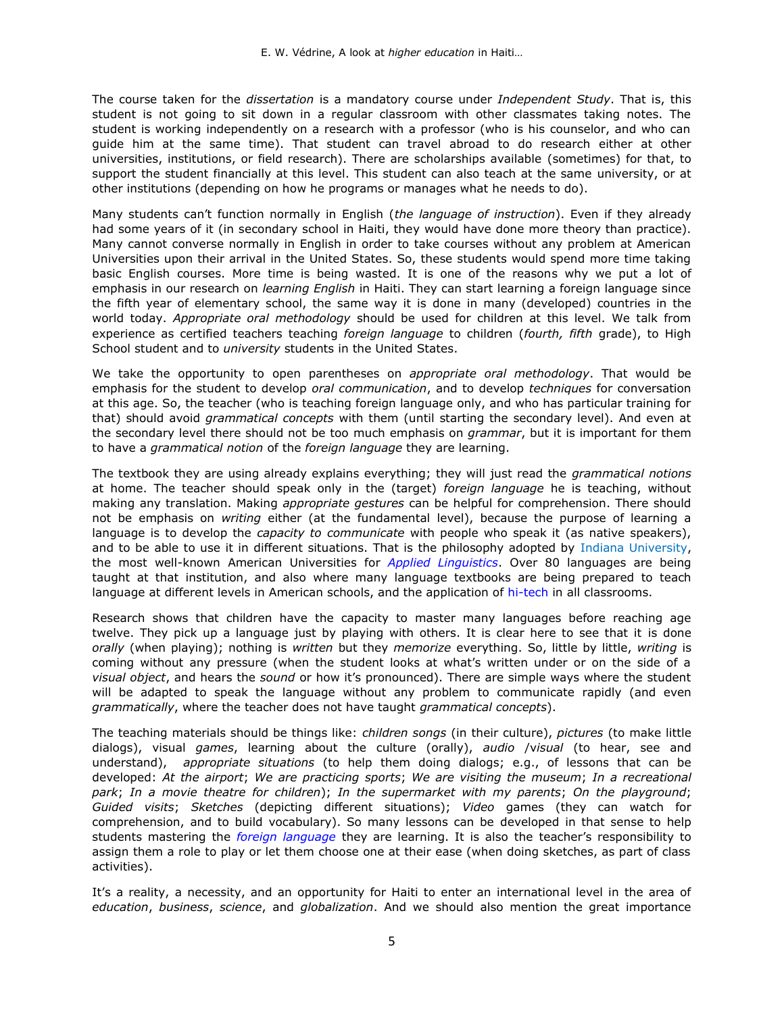The course taken for the *dissertation* is a mandatory course under *Independent Study*. That is, this student is not going to sit down in a regular classroom with other classmates taking notes. The student is working independently on a research with a professor (who is his counselor, and who can guide him at the same time). That student can travel abroad to do research either at other universities, institutions, or field research). There are scholarships available (sometimes) for that, to support the student financially at this level. This student can also teach at the same university, or at other institutions (depending on how he programs or manages what he needs to do).

Many students can't function normally in English (*the language of instruction*). Even if they already had some years of it (in secondary school in Haiti, they would have done more theory than practice). Many cannot converse normally in English in order to take courses without any problem at American Universities upon their arrival in the United States. So, these students would spend more time taking basic English courses. More time is being wasted. It is one of the reasons why we put a lot of emphasis in our research on *learning English* in Haiti. They can start learning a foreign language since the fifth year of elementary school, the same way it is done in many (developed) countries in the world today. *Appropriate oral methodology* should be used for children at this level. We talk from experience as certified teachers teaching *foreign language* to children (*fourth, fifth* grade), to High School student and to *university* students in the United States.

We take the opportunity to open parentheses on *appropriate oral methodology*. That would be emphasis for the student to develop *oral communication*, and to develop *techniques* for conversation at this age. So, the teacher (who is teaching foreign language only, and who has particular training for that) should avoid *grammatical concepts* with them (until starting the secondary level). And even at the secondary level there should not be too much emphasis on *grammar*, but it is important for them to have a *grammatical notion* of the *foreign language* they are learning.

The textbook they are using already explains everything; they will just read the *grammatical notions* at home. The teacher should speak only in the (target) *foreign language* he is teaching, without making any translation. Making *appropriate gestures* can be helpful for comprehension. There should not be emphasis on *writing* either (at the fundamental level), because the purpose of learning a language is to develop the *capacity to communicate* with people who speak it (as native speakers), and to be able to use it in different situations. That is the philosophy adopted by [Indiana University,](https://www.iu.edu/) the most well-known American Universities for *[Applied Linguistics](https://fr.wikipedia.org/wiki/Linguistique_appliqu%C3%A9e)*. Over 80 languages are being taught at that institution, and also where many language textbooks are being prepared to teach language at different levels in American schools, and the application of [hi-tech](https://learningspaces.iu.edu/classroom-tech/index.html) in all classrooms.

Research shows that children have the capacity to master many languages before reaching age twelve. They pick up a language just by playing with others. It is clear here to see that it is done *orally* (when playing); nothing is *written* but they *memorize* everything. So, little by little, *writing* is coming without any pressure (when the student looks at what's written under or on the side of a *visual object*, and hears the *sound* or how it's pronounced). There are simple ways where the student will be adapted to speak the language without any problem to communicate rapidly (and even *grammatically*, where the teacher does not have taught *grammatical concepts*).

The teaching materials should be things like: *children songs* (in their culture), *pictures* (to make little dialogs), visual *games*, learning about the culture (orally), *audio* /v*isual* (to hear, see and understand), *appropriate situations* (to help them doing dialogs; e.g., of lessons that can be developed: *At the airport*; *We are practicing sports*; *We are visiting the museum*; *In a recreational park*; *In a movie theatre for children*); *In the supermarket with my parents*; *On the playground*; *Guided visits*; *Sketches* (depicting different situations); *Video* games (they can watch for comprehension, and to build vocabulary). So many lessons can be developed in that sense to help students mastering the *[foreign language](https://fr.wikipedia.org/wiki/Didactique_des_langues_%C3%A9trang%C3%A8res)* they are learning. It is also the teacher's responsibility to assign them a role to play or let them choose one at their ease (when doing sketches, as part of class activities).

It's a reality, a necessity, and an opportunity for Haiti to enter an international level in the area of *education*, *business*, *science*, and *globalization*. And we should also mention the great importance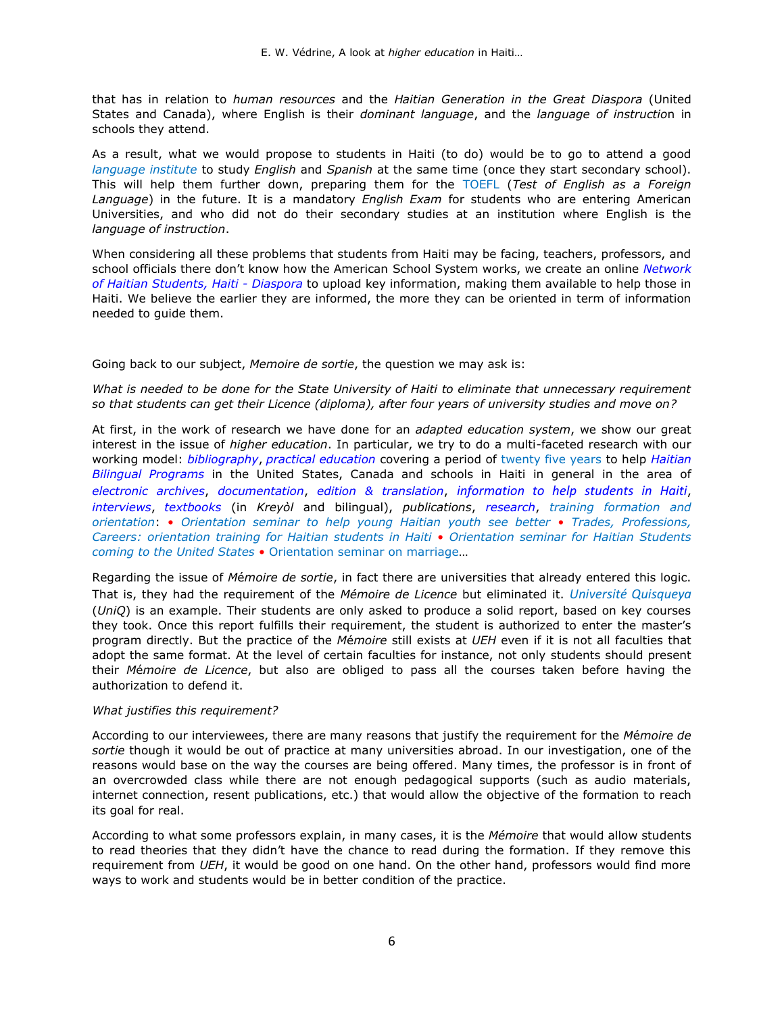that has in relation to *human resources* and the *Haitian Generation in the Great Diaspora* (United States and Canada), where English is their *dominant language*, and the *language of instructio*n in schools they attend.

As a result, what we would propose to students in Haiti (to do) would be to go to attend a good *[language institute](https://www.haitian-americaninstitute.org/)* to study *English* and *Spanish* at the same time (once they start secondary school). This will help them further down, preparing them for the [TOEFL](https://www.bing.com/videos/search?q=toefl+test&qpvt=toefl+test&FORM=VDRE) (*Test of English as a Foreign Language*) in the future. It is a mandatory *English Exam* for students who are entering American Universities, and who did not do their secondary studies at an institution where English is the *language of instruction*.

When considering all these problems that students from Haiti may be facing, teachers, professors, and school officials there don't know how the American School System works, we create an online *[Network](http://www.potomitan.info/vedrine/rezo.php)  [of Haitian Students, Haiti -](http://www.potomitan.info/vedrine/rezo.php) Diaspora* to upload key information, making them available to help those in Haiti. We believe the earlier they are informed, the more they can be oriented in term of information needed to guide them.

Going back to our subject, *Memoire de sortie*, the question we may ask is:

*What is needed to be done for the State University of Haiti to eliminate that unnecessary requirement so that students can get their Licence (diploma), after four years of university studies and move on?*

At first, in the work of research we have done for an *adapted education system*, we show our great interest in the issue of *higher education*. In particular, we try to do a multi-faceted research with our working model: *[bibliography](http://www.potomitan.info/vedrine/index.php#3)*, *[practical education](http://www.potomitan.info/vedrine/index.php#13)* covering a period of [twenty five years](http://www.potomitan.info/vedrine/index.php) to help *[Haitian](http://www.potomitan.info/vedrine/idepou.pdf)  [Bilingual Programs](http://www.potomitan.info/vedrine/idepou.pdf)* in the United States, Canada and schools in Haiti in general in the area of *[electronic archives](http://potomitan.info/vedrine/web.php)*, *[documentation](https://www.potomitan.info/vedrine/bibliographie.php)*, *[edition & translation](http://www.potomitan.info/vedrine/index.php#12)*, *[information to help students](http://potomitan.info/vedrine/rezo.php) in Haiti*, *[interviews](http://potomitan.info/vedrine/index.php#18)*, *[textbooks](http://potomitan.info/vedrine/grame.html)* (in *Kreyòl* and bilingual), *publications*, *[research](http://www.potomitan.info/vedrine/summary.php)*, *[training formation and](https://www.potomitan.info/vedrine/orientation_k.php)  [orientation](https://www.potomitan.info/vedrine/orientation_k.php)*: • *[Orientation seminar to help young Haitian youth see better](http://www.potomitan.info/vedrine/oryantasyon.php)* • *[Trades, Professions,](http://www.potomitan.info/vedrine/metye.php)  [Careers: orientation training for Haitian students in Haiti](http://www.potomitan.info/vedrine/metye.php)* • *[Orientation seminar for Haitian Students](http://www.potomitan.info/vedrine/orientation.php)  [coming to the United States](http://www.potomitan.info/vedrine/orientation.php)* • [Orientation seminar on marriage](http://www.potomitan.info/vedrine/maryaj.php)…

Regarding the issue of *M*é*moire de sortie*, in fact there are universities that already entered this logic. That is, they had the requirement of the *Mémoire de Licence* but eliminated it. *[Université Quisqueya](https://www.uniq.edu/)* (*UniQ*) is an example. Their students are only asked to produce a solid report, based on key courses they took. Once this report fulfills their requirement, the student is authorized to enter the master's program directly. But the practice of the *M*é*moire* still exists at *UEH* even if it is not all faculties that adopt the same format. At the level of certain faculties for instance, not only students should present their *M*é*moire de Licence*, but also are obliged to pass all the courses taken before having the authorization to defend it.

### *What justifies this requirement?*

According to our interviewees, there are many reasons that justify the requirement for the *M*é*moire de sortie* though it would be out of practice at many universities abroad. In our investigation, one of the reasons would base on the way the courses are being offered. Many times, the professor is in front of an overcrowded class while there are not enough pedagogical supports (such as audio materials, internet connection, resent publications, etc.) that would allow the objective of the formation to reach its goal for real.

According to what some professors explain, in many cases, it is the *Mémoire* that would allow students to read theories that they didn't have the chance to read during the formation. If they remove this requirement from *UEH*, it would be good on one hand. On the other hand, professors would find more ways to work and students would be in better condition of the practice.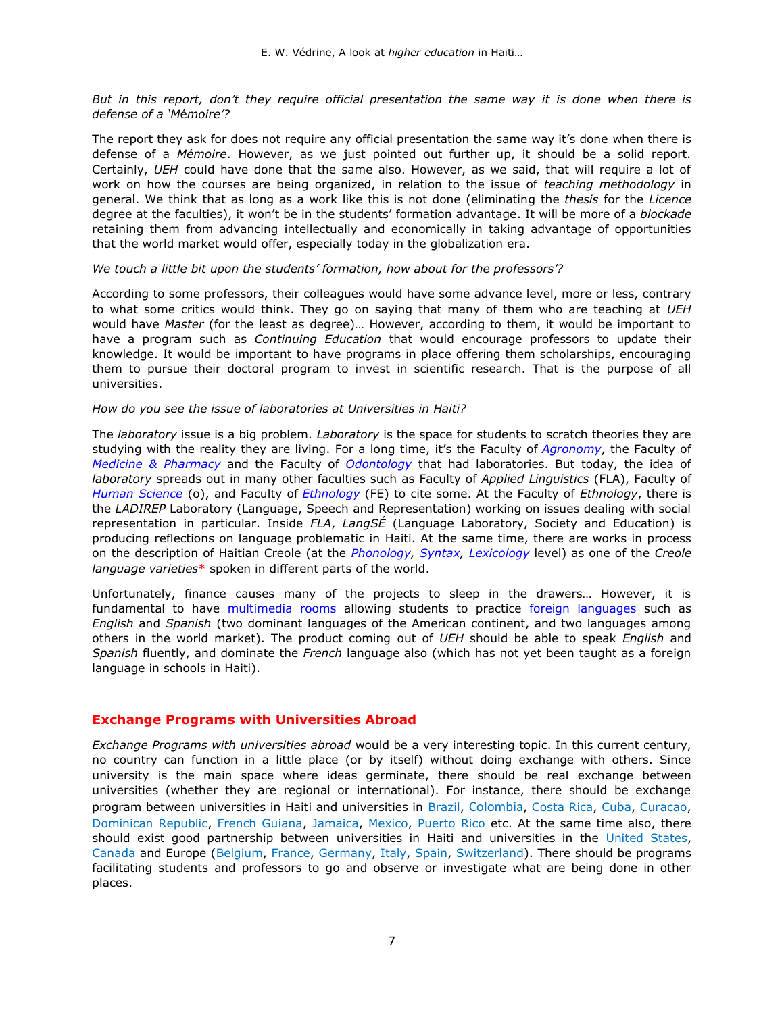*But in this report, don't they require official presentation the same way it is done when there is defense of a 'M*é*moire'?* 

The report they ask for does not require any official presentation the same way it's done when there is defense of a *Mémoire*. However, as we just pointed out further up, it should be a solid report. Certainly, *UEH* could have done that the same also. However, as we said, that will require a lot of work on how the courses are being organized, in relation to the issue of *teaching methodology* in general. We think that as long as a work like this is not done (eliminating the *thesis* for the *Licence* degree at the faculties), it won't be in the students' formation advantage. It will be more of a *blockade* retaining them from advancing intellectually and economically in taking advantage of opportunities that the world market would offer, especially today in the globalization era.

#### *We touch a little bit upon the students' formation, how about for the professors'?*

According to some professors, their colleagues would have some advance level, more or less, contrary to what some critics would think. They go on saying that many of them who are teaching at *UEH* would have *Master* (for the least as degree)… However, according to them, it would be important to have a program such as *Continuing Education* that would encourage professors to update their knowledge. It would be important to have programs in place offering them scholarships, encouraging them to pursue their doctoral program to invest in scientific research. That is the purpose of all universities.

#### *How do you see the issue of laboratories at Universities in Haiti?*

The *laboratory* issue is a big problem. *Laboratory* is the space for students to scratch theories they are studying with the reality they are living. For a long time, it's the Faculty of *[Agronomy](https://www.ueh.edu.ht/facultes/famv.php)*, the Faculty of *[Medicine & Pharmacy](https://www.ueh.edu.ht/facultes/fmp.php)* and the Faculty of *[Odontology](https://www.ueh.edu.ht/facultes/fo.php)* that had laboratories. But today, the idea of *laboratory* spreads out in many other faculties such as Faculty of *Applied Linguistics* (FLA), Faculty of *[Human Science](https://www.ueh.edu.ht/facultes/fasch.php)* (o), and Faculty of *[Ethnology](https://www.ueh.edu.ht/facultes/fe.php)* (FE) to cite some. At the Faculty of *Ethnology*, there is the *LADIREP* Laboratory (Language, Speech and Representation) working on issues dealing with social representation in particular. Inside *FLA*, *LangSÉ* (Language Laboratory, Society and Education) is producing reflections on language problematic in Haiti. At the same time, there are works in process on the description of Haitian Creole (at the *[Phonology,](https://fr.wikipedia.org/wiki/Phonologie) [Syntax,](https://fr.wikipedia.org/wiki/Syntaxe) [Lexicology](http://www.potomitan.info/vedrine/index.php#10)* level) as one of the *Creole language varieties*\* spoken in different parts of the world.

Unfortunately, finance causes many of the projects to sleep in the drawers… However, it is fundamental to have [multimedia rooms](https://learningspaces.iu.edu/classroom-tech/index.html) allowing students to practice [foreign languages](https://www.iun.edu/modern-languages/student-reforeign%20language-lab.htm) such as *English* and *Spanish* (two dominant languages of the American continent, and two languages among others in the world market). The product coming out of *UEH* should be able to speak *English* and *Spanish* fluently, and dominate the *French* language also (which has not yet been taught as a foreign language in schools in Haiti).

### **Exchange Programs with Universities Abroad**

*Exchange Programs with universities abroad* would be a very interesting topic. In this current century, no country can function in a little place (or by itself) without doing exchange with others. Since university is the main space where ideas germinate, there should be real exchange between universities (whether they are regional or international). For instance, there should be exchange program between universities in Haiti and universities in [Brazil,](https://www.etudionsaletranger.fr/etudier-au-bresil/etudier-au-bresil-comment-etudier-au-bresil) Colombia, [Costa Rica,](https://www.ucr.ac.cr/) [Cuba,](https://www.topuniversities.com/where-to-study/latin-america/Cuba/guide) [Curacao,](https://www.uoc.cw/) [Dominican Republic,](https://en.wikipedia.org/wiki/List_of_universities_in_the_Dominican_Republic) [French Guiana,](https://www.univ-guyane.fr/) [Jamaica,](https://www.scholaro.com/u/Countries/Jamaica/Universities) [Mexico,](https://www.etudionsaletranger.fr/etudier-au-mexique/etudier-au-mexique-comment-etudier-au-mexique) [Puerto Rico](http://www.upr.edu/) etc. At the same time also, there should exist good partnership between universities in Haiti and universities in the [United States,](https://www.etudionsaletranger.fr/etudier-aux-etats-unis/etudier-aux-etats-unis-comment-etudier-aux-usa) [Canada](https://www.etudionsaletranger.fr/etudier-au-canada/etudier-au-canada-comment-partir-etudier-au-canada) and Europe [\(Belgium,](https://www.etudionsaletranger.fr/etudier-en-belgique/etudier-en-belgique-comment-partir-etudier-en-belgique) [France,](https://www.etudionsaletranger.fr/etudier-en-france/blog) [Germany,](https://www.etudionsaletranger.fr/etudier-en-allemagne/etudier-en-allemagne-comment-partir-etudier-en-allemagne) [Italy,](https://www.etudionsaletranger.fr/etudier-en-italie/etudier-en-italie-comment-partir-etudier-en-italie) [Spain,](https://www.etudionsaletranger.fr/etudier-en-espagne/etudier-en-espagne-comment-partir-etudier-en-espagne) [Switzerland\)](https://www.etudionsaletranger.fr/etudier-en-suisse/etudier-en-suisse-comment-etudier-en-suisse). There should be programs facilitating students and professors to go and observe or investigate what are being done in other places.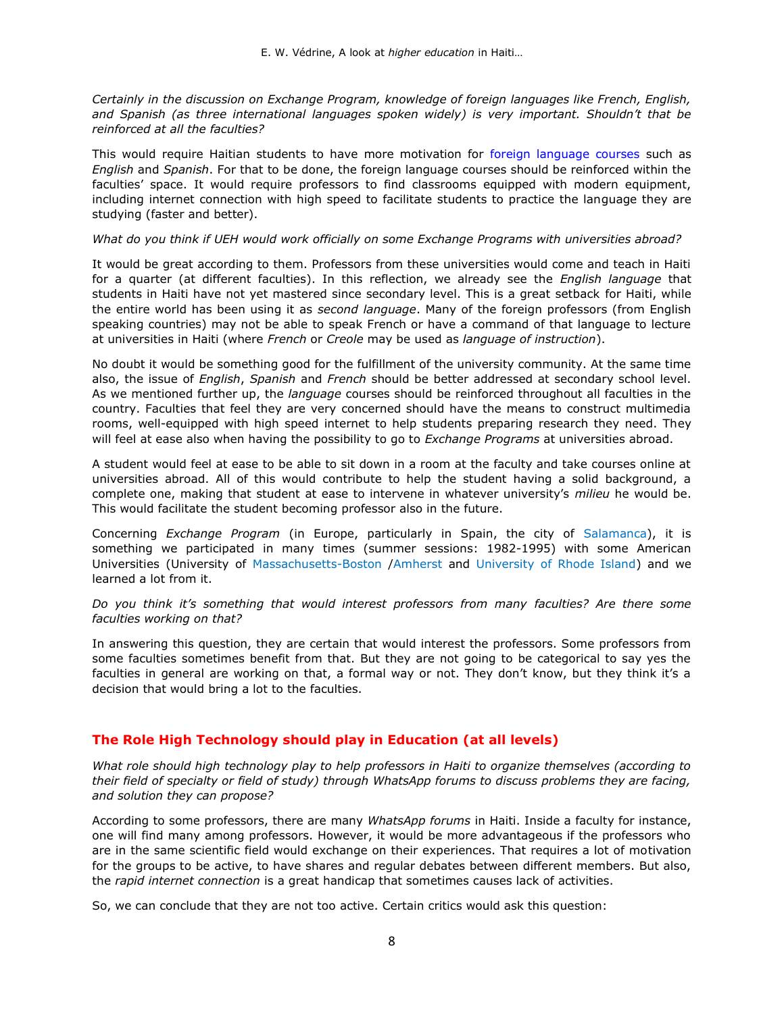*Certainly in the discussion on Exchange Program, knowledge of foreign languages like French, English, and Spanish (as three international languages spoken widely) is very important. Shouldn't that be reinforced at all the faculties?*

This would require Haitian students to have more motivation for [foreign language courses](http://www.potomitan.info/vedrine/reta.php) such as *English* and *Spanish*. For that to be done, the foreign language courses should be reinforced within the faculties' space. It would require professors to find classrooms equipped with modern equipment, including internet connection with high speed to facilitate students to practice the language they are studying (faster and better).

#### *What do you think if UEH would work officially on some Exchange Programs with universities abroad?*

It would be great according to them. Professors from these universities would come and teach in Haiti for a quarter (at different faculties). In this reflection, we already see the *English language* that students in Haiti have not yet mastered since secondary level. This is a great setback for Haiti, while the entire world has been using it as *second language*. Many of the foreign professors (from English speaking countries) may not be able to speak French or have a command of that language to lecture at universities in Haiti (where *French* or *Creole* may be used as *language of instruction*).

No doubt it would be something good for the fulfillment of the university community. At the same time also, the issue of *English*, *Spanish* and *French* should be better addressed at secondary school level. As we mentioned further up, the *language* courses should be reinforced throughout all faculties in the country. Faculties that feel they are very concerned should have the means to construct multimedia rooms, well-equipped with high speed internet to help students preparing research they need. They will feel at ease also when having the possibility to go to *Exchange Programs* at universities abroad.

A student would feel at ease to be able to sit down in a room at the faculty and take courses online at universities abroad. All of this would contribute to help the student having a solid background, a complete one, making that student at ease to intervene in whatever university's *milieu* he would be. This would facilitate the student becoming professor also in the future.

Concerning *Exchange Program* (in Europe, particularly in Spain, the city of [Salamanca\)](https://www.colegioespana.com/), it is something we participated in many times (summer sessions: 1982-1995) with some American Universities (University of [Massachusetts-Boston](https://www.umb.edu/) [/Amherst](https://www.umass.edu/) and [University of Rhode Island\)](https://www.uri.edu/) and we learned a lot from it.

#### *Do you think it's something that would interest professors from many faculties? Are there some faculties working on that?*

In answering this question, they are certain that would interest the professors. Some professors from some faculties sometimes benefit from that. But they are not going to be categorical to say yes the faculties in general are working on that, a formal way or not. They don't know, but they think it's a decision that would bring a lot to the faculties.

### **The Role High Technology should play in Education (at all levels)**

*What role should high technology play to help professors in Haiti to organize themselves (according to their field of specialty or field of study) through WhatsApp forums to discuss problems they are facing, and solution they can propose?*

According to some professors, there are many *WhatsApp forums* in Haiti. Inside a faculty for instance, one will find many among professors. However, it would be more advantageous if the professors who are in the same scientific field would exchange on their experiences. That requires a lot of motivation for the groups to be active, to have shares and regular debates between different members. But also, the *rapid internet connection* is a great handicap that sometimes causes lack of activities.

So, we can conclude that they are not too active. Certain critics would ask this question: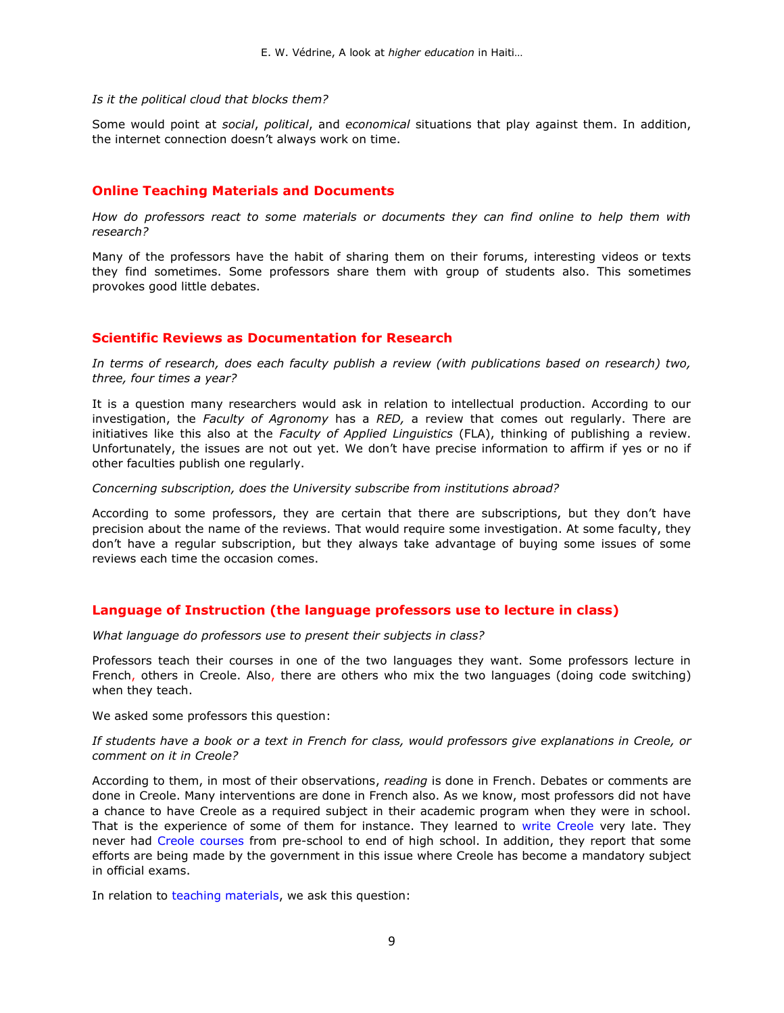#### *Is it the political cloud that blocks them?*

Some would point at *social*, *political*, and *economical* situations that play against them. In addition, the internet connection doesn't always work on time.

### **Online Teaching Materials and Documents**

*How do professors react to some materials or documents they can find online to help them with research?*

Many of the professors have the habit of sharing them on their forums, interesting videos or texts they find sometimes. Some professors share them with group of students also. This sometimes provokes good little debates.

### **Scientific Reviews as Documentation for Research**

*In terms of research, does each faculty publish a review (with publications based on research) two, three, four times a year?*

It is a question many researchers would ask in relation to intellectual production. According to our investigation, the *Faculty of Agronomy* has a *RED,* a review that comes out regularly. There are initiatives like this also at the *Faculty of Applied Linguistics* (FLA), thinking of publishing a review. Unfortunately, the issues are not out yet. We don't have precise information to affirm if yes or no if other faculties publish one regularly.

*Concerning subscription, does the University subscribe from institutions abroad?*

According to some professors, they are certain that there are subscriptions, but they don't have precision about the name of the reviews. That would require some investigation. At some faculty, they don't have a regular subscription, but they always take advantage of buying some issues of some reviews each time the occasion comes.

### **Language of Instruction (the language professors use to lecture in class)**

#### *What language do professors use to present their subjects in class?*

Professors teach their courses in one of the two languages they want. Some professors lecture in French, others in Creole. Also, there are others who mix the two languages (doing code switching) when they teach.

We asked some professors this question:

#### *If students have a book or a text in French for class, would professors give explanations in Creole, or comment on it in Creole?*

According to them, in most of their observations, *reading* is done in French. Debates or comments are done in Creole. Many interventions are done in French also. As we know, most professors did not have a chance to have Creole as a required subject in their academic program when they were in school. That is the experience of some of them for instance. They learned to [write Creole](http://www.potomitan.info/vedrine/alfabe.php) very late. They never had [Creole courses](http://www.potomitan.info/vedrine/toil.pdf) from pre-school to end of high school. In addition, they report that some efforts are being made by the government in this issue where Creole has become a mandatory subject in official exams.

In relation to [teaching materials,](http://www.potomitan.info/vedrine/lekol.php) we ask this question: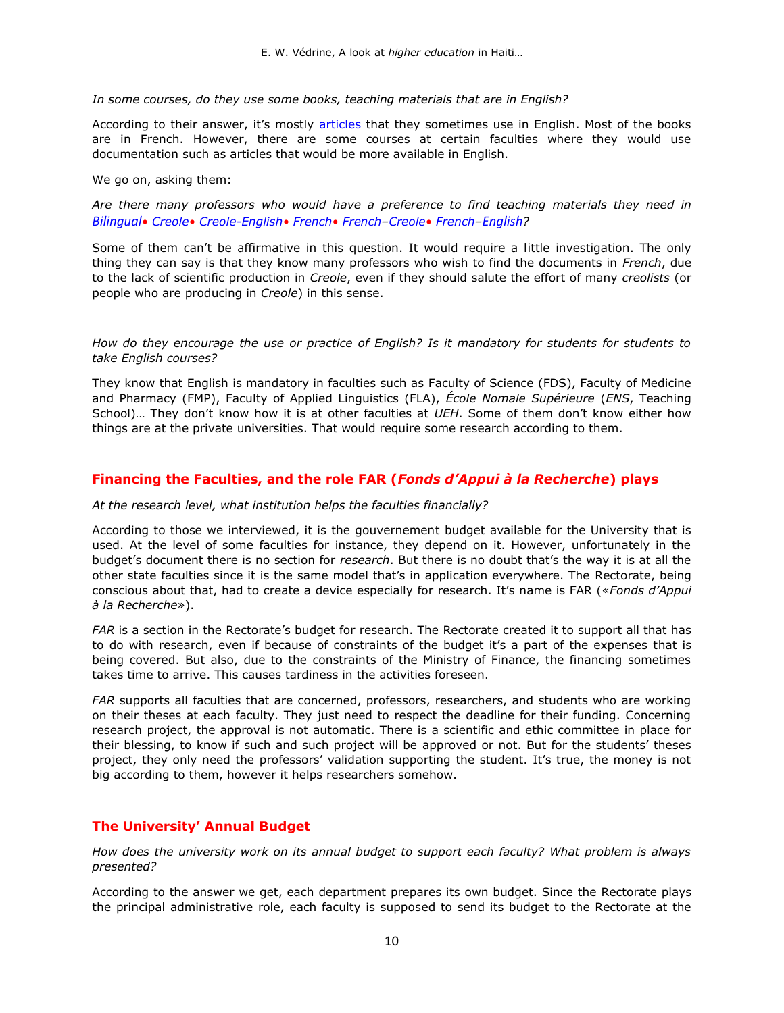*In some courses, do they use some books, teaching materials that are in English?* 

According to their answer, it's mostly [articles](http://www.potomitan.info/vedrine/index.php#2) that they sometimes use in English. Most of the books are in French. However, there are some courses at certain faculties where they would use documentation such as articles that would be more available in English.

We go on, asking them:

*Are there many professors who would have a preference to find teaching materials they need in [Bilingual](http://www.potomitan.info/vedrine/diplom.php)• [Creole](http://www.potomitan.info/vedrine/reforest.php#k)• [Creole-English](http://www.potomitan.info/vedrine/bwa_kayiman.php)• [French](http://www.potomitan.info/vedrine/reboiser.pdf)• [French](http://www.potomitan.info/vedrine/fombrun.pdf)–Creole• [French](http://www.potomitan.info/ayiti/seisme_2010b.php)–[English](https://www.bostonhaitian.com/2010/%e2%80%98mother-nature-has-risen-against-us%e2%80%99)?* 

Some of them can't be affirmative in this question. It would require a little investigation. The only thing they can say is that they know many professors who wish to find the documents in *French*, due to the lack of scientific production in *Creole*, even if they should salute the effort of many *creolists* (or people who are producing in *Creole*) in this sense.

*How do they encourage the use or practice of English? Is it mandatory for students for students to take English courses?* 

They know that English is mandatory in faculties such as [Faculty of Science \(](http://www.ueh.edu.ht/facultes/fds.php)FDS), [Faculty of Medicine](http://www.ueh.edu.ht/facultes/fmp.php)  [and Pharmacy](http://www.ueh.edu.ht/facultes/fmp.php) (FMP), [Faculty of Applied Linguistics](http://www.ueh.edu.ht/facultes/fla.php) (FLA), *[École Nomale Supérieure](http://www.ueh.edu.ht/facultes/ens.php)* (*ENS*, Teaching School)… They don't know how it is at other faculties at *UEH*. Some of them don't know either how things are at the private universities. That would require some research according to them.

### **Financing the Faculties, and the role FAR (***Fonds d'Appui à la Recherche***) plays**

#### *At the research level, what institution helps the faculties financially?*

According to those we interviewed, it is the gouvernement budget available for the University that is used. At the level of some faculties for instance, they depend on it. However, unfortunately in the budget's document there is no section for *research*. But there is no doubt that's the way it is at all the other state faculties since it is the same model that's in application everywhere. The Rectorate, being conscious about that, had to create a device especially for research. It's name is FAR («*Fonds d'Appui à la Recherche*»).

*FAR* is a section in the Rectorate's budget for research. The Rectorate created it to support all that has to do with research, even if because of constraints of the budget it's a part of the expenses that is being covered. But also, due to the constraints of the Ministry of Finance, the financing sometimes takes time to arrive. This causes tardiness in the activities foreseen.

*FAR* supports all faculties that are concerned, professors, researchers, and students who are working on their theses at each faculty. They just need to respect the deadline for their funding. Concerning research project, the approval is not automatic. There is a scientific and ethic committee in place for their blessing, to know if such and such project will be approved or not. But for the students' theses project, they only need the professors' validation supporting the student. It's true, the money is not big according to them, however it helps researchers somehow.

### **The University' Annual Budget**

*How does the university work on its annual budget to support each faculty? What problem is always presented?*

According to the answer we get, each department prepares its own budget. Since the Rectorate plays the principal administrative role, each faculty is supposed to send its budget to the Rectorate at the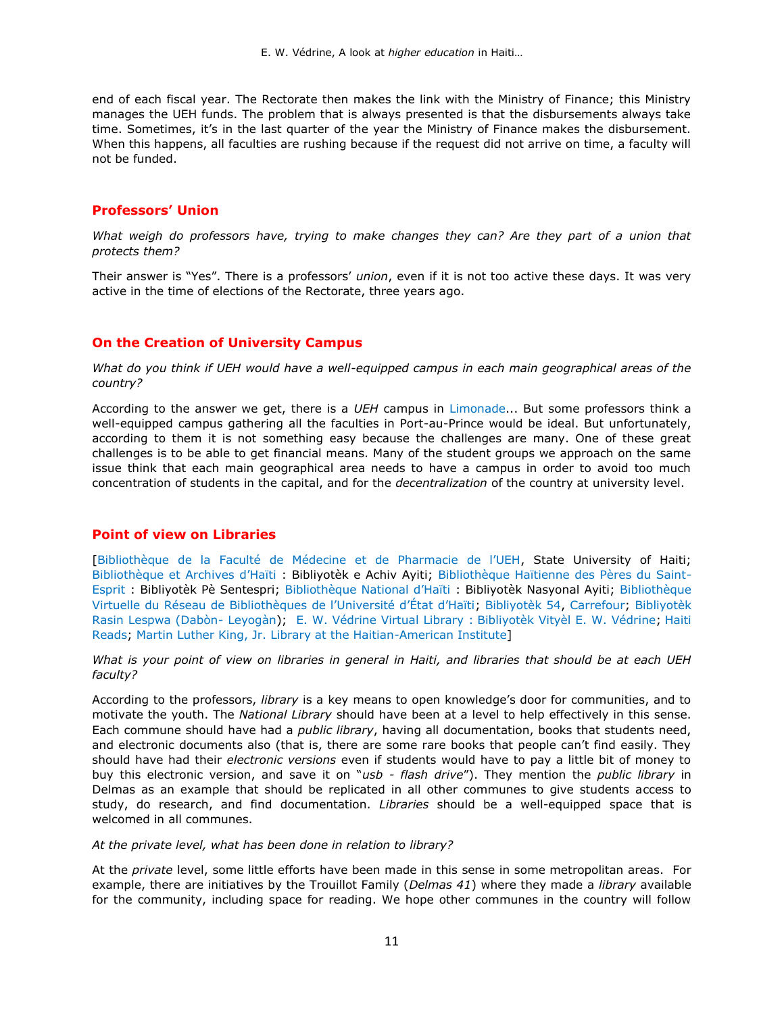end of each fiscal year. The Rectorate then makes the link with the Ministry of Finance; this Ministry manages the UEH funds. The problem that is always presented is that the disbursements always take time. Sometimes, it's in the last quarter of the year the Ministry of Finance makes the disbursement. When this happens, all faculties are rushing because if the request did not arrive on time, a faculty will not be funded.

### **Professors' Union**

*What weigh do professors have, trying to make changes they can? Are they part of a union that protects them?*

Their answer is "Yes". There is a professors' *union*, even if it is not too active these days. It was very active in the time of elections of the Rectorate, three years ago.

### **On the Creation of University Campus**

*What do you think if UEH would have a well-equipped campus in each main geographical areas of the country?*

According to the answer we get, there is a *UEH* campus in [Limonade](https://en.wikipedia.org/wiki/Universit%C3%A9_d%27%C3%89tat_d%27Ha%C3%AFti)... But some professors think a well-equipped campus gathering all the faculties in Port-au-Prince would be ideal. But unfortunately, according to them it is not something easy because the challenges are many. One of these great challenges is to be able to get financial means. Many of the student groups we approach on the same issue think that each main geographical area needs to have a campus in order to avoid too much concentration of students in the capital, and for the *decentralization* of the country at university level.

### **Point of view on Libraries**

[[Bibliothèque de la Faculté de Médecine et de Pharmacie de l'UEH](http://fmp.ueh.edu.ht/biblio/), State University of Haiti; [Bibliothèque et Archives d'Haïti](http://www.haiti-reference.com/arts/culture/bibliotheque.php) : Bibliyotèk e Achiv Ayiti; [Bibliothèque Haïtienne des Pères du Saint-](http://dloc.com/ibhpse)[Esprit](http://dloc.com/ibhpse) : Bibliyotèk Pè Sentespri; [Bibliothèque National d'Haïti](http://dloc.com/ibnh) : Bibliyotèk Nasyonal Ayiti; [Bibliothèque](http://biblio.ueh.edu.ht/)  [Virtuelle du Réseau de Bibliothèques de l'Université d'État d'Haïti](http://biblio.ueh.edu.ht/); [Bibliyotèk 54, Carrefour;](http://www.haitireads.org/) [Bibliyotèk](http://www.rasinlespwa.org/2012/12/rapport-de-fonctionnement-jan-juin-2005.html#.UMN_0IL51Ic.facebook)  [Rasin Lespwa \(Dabòn-](http://www.rasinlespwa.org/2012/12/rapport-de-fonctionnement-jan-juin-2005.html#.UMN_0IL51Ic.facebook) Leyogàn); [E. W. Védrine Virtual Library :](http://www.potomitan.info/vedrine/index.php) [Bibliyotèk Vityèl E. W. Védrine;](http://www.potomitan.info/vedrine/index.php) [Haiti](http://www.haitireads.org/virtual-library.html)  [Reads;](http://www.haitireads.org/virtual-library.html) [Martin Luther King, Jr. Library at the Haitian-American Institute\]](http://www.haitian-americaninstitute.org/)

*What is your point of view on [libraries](http://www.haitireads.org/libraries-in-haiti.html) in general in Haiti, and libraries that should be at each UEH faculty?*

According to the professors, *library* is a key means to open knowledge's door for communities, and to motivate the youth. The *National Library* should have been at a level to help effectively in this sense. Each commune should have had a *public library*, having all documentation, books that students need, and electronic documents also (that is, there are some rare books that people can't find easily. They should have had their *electronic versions* even if students would have to pay a little bit of money to buy this electronic version, and save it on "*usb - flash drive*"). They mention the *public library* in Delmas as an example that should be replicated in all other communes to give students access to study, do research, and find documentation. *Libraries* should be a well-equipped space that is welcomed in all communes.

#### *At the private level, what has been done in relation to library?*

At the *private* level, some little efforts have been made in this sense in some metropolitan areas. For example, there are initiatives by the Trouillot Family (*Delmas 41*) where they made a *library* available for the community, including space for reading. We hope other communes in the country will follow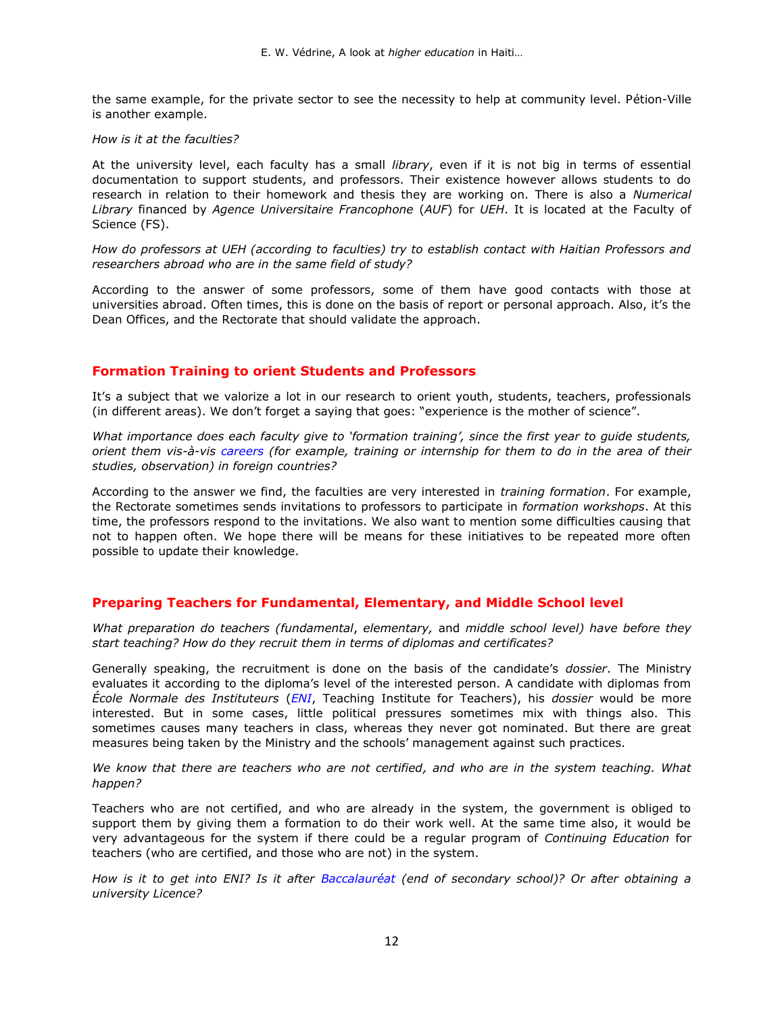the same example, for the private sector to see the necessity to help at community level. Pétion-Ville is another example.

#### *How is it at the faculties?*

At the university level, each faculty has a small *library*, even if it is not big in terms of essential documentation to support students, and professors. Their existence however allows students to do research in relation to their homework and thesis they are working on. There is also a *[Numerical](http://bn.ueh.edu.ht/)  [Library](http://bn.ueh.edu.ht/)* financed by *Agence Universitaire Francophone* (*AUF*) for *UEH*. It is located at the Faculty of Science (FS).

*How do professors at UEH (according to faculties) try to establish contact with Haitian Professors and researchers abroad who are in the same field of study?*

According to the answer of some professors, some of them have good contacts with those at universities abroad. Often times, this is done on the basis of report or personal approach. Also, it's the Dean Offices, and the Rectorate that should validate the approach.

### **Formation Training to orient Students and Professors**

It's a subject that we valorize a lot in our research to orient youth, students, teachers, professionals (in different areas). We don't forget a saying that goes: "experience is the mother of science".

*What importance does each faculty give to 'formation training', since the first year to guide students, orient them vis-à-vis [careers](http://www.potomitan.info/vedrine/metye.php) (for example, training or internship for them to do in the area of their studies, observation) in foreign countries?*

According to the answer we find, the faculties are very interested in *training formation*. For example, the Rectorate sometimes sends invitations to professors to participate in *formation workshops*. At this time, the professors respond to the invitations. We also want to mention some difficulties causing that not to happen often. We hope there will be means for these initiatives to be repeated more often possible to update their knowledge.

### **Preparing Teachers for Fundamental, Elementary, and Middle School level**

*What preparation do teachers (fundamental*, *elementary,* and *middle school level) have before they start teaching? How do they recruit them in terms of diplomas and certificates?*

Generally speaking, the recruitment is done on the basis of the candidate's *dossier*. The Ministry evaluates it according to the diploma's level of the interested person. A candidate with diplomas from *École Normale des Instituteurs* (*[ENI](https://fr.wikipedia.org/wiki/Instituteur)*, Teaching Institute for Teachers), his *dossier* would be more interested. But in some cases, little political pressures sometimes mix with things also. This sometimes causes many teachers in class, whereas they never got nominated. But there are great measures being taken by the Ministry and the schools' management against such practices.

*We know that there are teachers who are not certified, and who are in the system teaching. What happen?*

Teachers who are not certified, and who are already in the system, the government is obliged to support them by giving them a formation to do their work well. At the same time also, it would be very advantageous for the system if there could be a regular program of *Continuing Education* for teachers (who are certified, and those who are not) in the system.

*How is it to get into ENI? Is it after [Baccalauréat](https://fr.wikipedia.org/wiki/Baccalaur%C3%A9at_en_France) (end of secondary school)? Or after obtaining a university Licence?*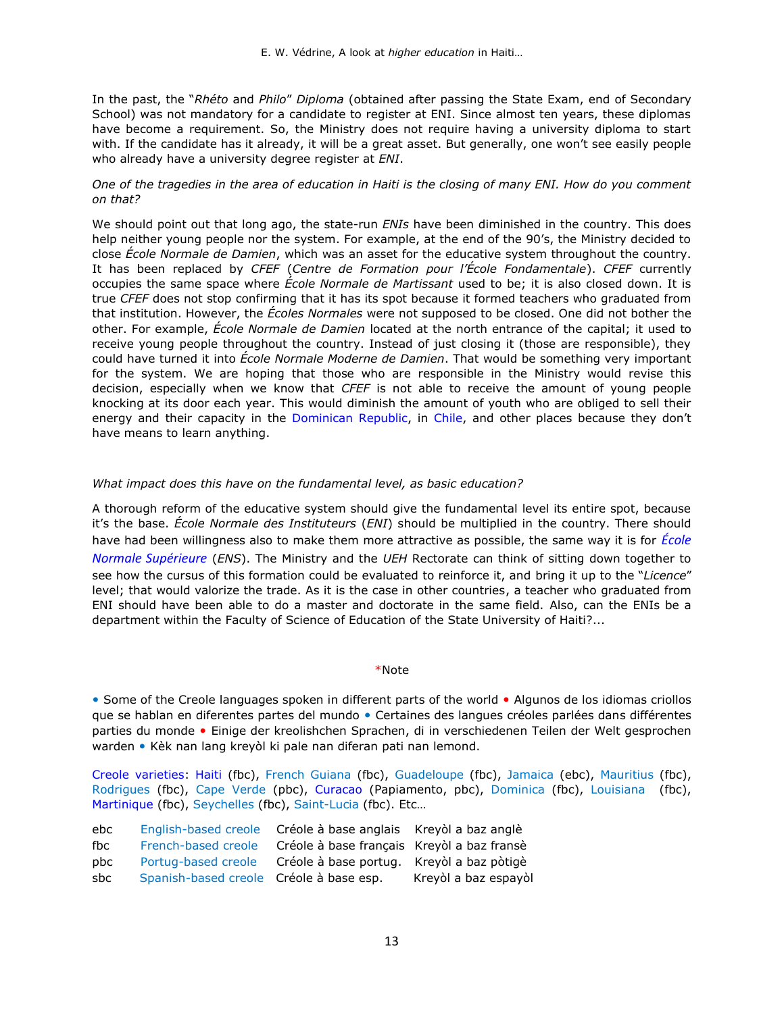In the past, the "*Rhéto* and *Philo*" *Diploma* (obtained after passing the State Exam, end of Secondary School) was not mandatory for a candidate to register at ENI. Since almost ten years, these diplomas have become a requirement. So, the Ministry does not require having a university diploma to start with. If the candidate has it already, it will be a great asset. But generally, one won't see easily people who already have a university degree register at *ENI*.

### *One of the tragedies in the area of education in Haiti is the closing of many ENI. How do you comment on that?*

We should point out that long ago, the state-run *ENIs* have been diminished in the country. This does help neither young people nor the system. For example, at the end of the 90's, the Ministry decided to close *École Normale de Damien*, which was an asset for the educative system throughout the country. It has been replaced by *CFEF* (*Centre de Formation pour l'École Fondamentale*). *CFEF* currently occupies the same space where *École Normale de Martissant* used to be; it is also closed down. It is true *CFEF* does not stop confirming that it has its spot because it formed teachers who graduated from that institution. However, the *Écoles Normales* were not supposed to be closed. One did not bother the other. For example, *École Normale de Damien* located at the north entrance of the capital; it used to receive young people throughout the country. Instead of just closing it (those are responsible), they could have turned it into *École Normale Moderne de Damien*. That would be something very important for the system. We are hoping that those who are responsible in the Ministry would revise this decision, especially when we know that *CFEF* is not able to receive the amount of young people knocking at its door each year. This would diminish the amount of youth who are obliged to sell their energy and their capacity in the [Dominican Republic,](https://en.wikipedia.org/wiki/Haitians_in_the_Dominican_Republic) in [Chile](https://en.wikipedia.org/wiki/Haitian_Chilean), and other places because they don't have means to learn anything.

### *What impact does this have on the fundamental level, as basic education?*

A thorough reform of the educative system should give the fundamental level its entire spot, because it's the base. *École Normale des Instituteurs* (*ENI*) should be multiplied in the country. There should have had been willingness also to make them more attractive as possible, the same way it is for *[École](https://en.wikipedia.org/wiki/%C3%89cole_normale_sup%C3%A9rieure)  [Normale Supérieure](https://en.wikipedia.org/wiki/%C3%89cole_normale_sup%C3%A9rieure)* (*ENS*). The Ministry and the *UEH* Rectorate can think of sitting down together to see how the cursus of this formation could be evaluated to reinforce it, and bring it up to the "*Licence*" level; that would valorize the trade. As it is the case in other countries, a teacher who graduated from ENI should have been able to do a master and doctorate in the same field. Also, can the ENIs be a department within the Faculty of Science of Education of the State University of Haiti?...

#### \*Note

• Some of the Creole languages spoken in different parts of the world • Algunos de los idiomas criollos que se hablan en diferentes partes del mundo • Certaines des langues créoles parlées dans différentes parties du monde • Einige der kreolishchen Sprachen, di in verschiedenen Teilen der Welt gesprochen warden • Kèk nan lang kreyòl ki pale nan diferan pati nan lemond.

[Creole varieties:](http://www.potomitan.info/vedrine/fraz.php) [Haiti](http://www.potomitan.info/vedrine/index.php) (fbc), [French Guiana](https://en.wikipedia.org/wiki/French_Guiana) (fbc), [Guadeloupe](https://linguistlist.org/forms/langs/LLDescription.cfm?code=gcf) (fbc), [Jamaica](https://en.wikipedia.org/wiki/Jamaican_Patois) (ebc), [Mauritius](https://en.wikipedia.org/wiki/Mauritius) (fbc), [Rodrigues](https://en.wikipedia.org/wiki/Rodrigues) (fbc), [Cape Verde](https://en.wikipedia.org/wiki/Cape_Verdean_Creole) (pbc), [Curacao](http://www.potomitan.info/vedrine/curacao.php) [\(Papiamento,](https://en.wikipedia.org/wiki/Papiamento) pbc), [Dominica](https://en.wikipedia.org/wiki/Dominican_Creole_French) (fbc), [Louisiana](http://www.indiana.edu/~creole/lcdpromo.shtml) (fbc), [Martinique](http://www.potomitan.info/confiant/index.php) (fbc), [Seychelles](https://en.wikipedia.org/wiki/Seychelles) (fbc), [Saint-Lucia](http://www.linkedin.com/in/jeffallen) (fbc). Etc…

| ebc |                                         | English-based creole Créole à base anglais Kreyol a baz anglè |                      |
|-----|-----------------------------------------|---------------------------------------------------------------|----------------------|
| fbc | French-based creole                     | Créole à base français Kreyòl a baz fransè                    |                      |
| pbc | Portug-based creole                     | Créole à base portug. Kreyòl a baz pòtigè                     |                      |
| sbc | Spanish-based creole Créole à base esp. |                                                               | Kreyòl a baz espayòl |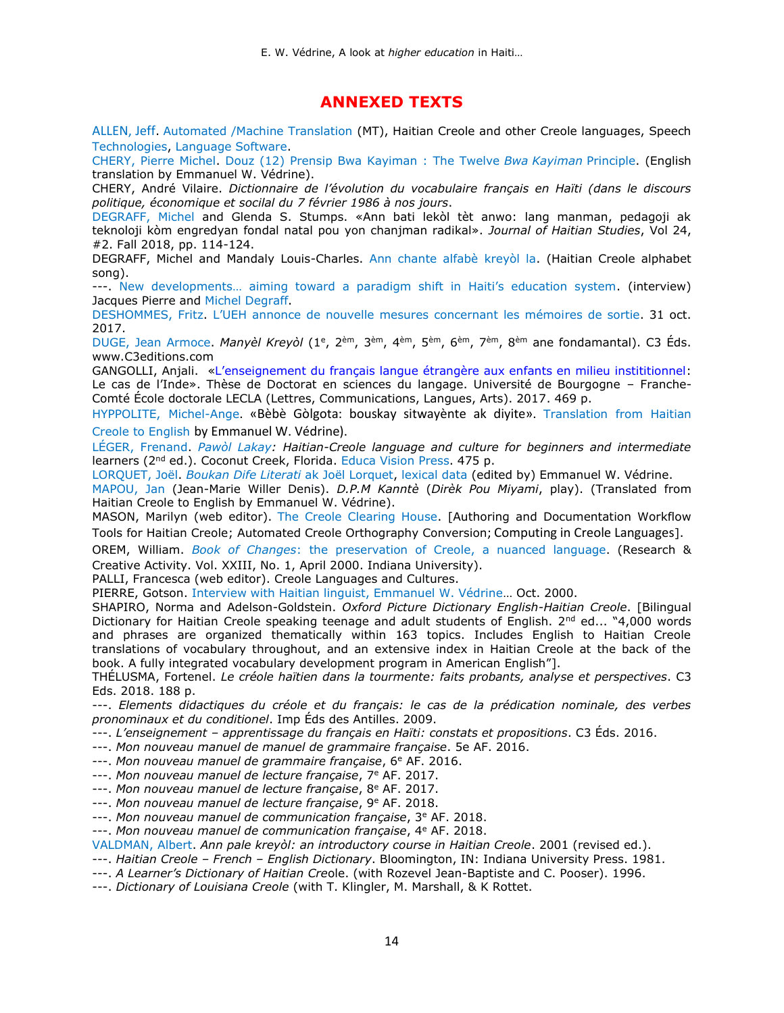## **ANNEXED TEXTS**

[ALLEN, Jeff](https://www.linkedin.com/in/jeff%20allen). Automated /Machine Translation [\(MT\), Haitian Creole and other Creole languages, Speech](https://www.proz.com/profile/88146)  [Technologies, Language Software.](https://www.proz.com/profile/88146)

[CHERY, Pierre Michel.](https://www.potomitan.info/ayiti/chery/index.php) [Douz \(12\) Prensip Bwa Kayiman : The Twelve](http://www.potomitan.info/vedrine/bwa_kayiman.php) *Bwa Kayiman* Principle. (English translation by Emmanuel W. Védrine).

CHERY, André Vilaire. *Dictionnaire de l'évolution du vocabulaire français en Haïti (dans le discours politique, économique et socilal du 7 février 1986 à nos jours*.

[DEGRAFF, Michel](http://linguistics.mit.edu/user/degraff/) and Glenda S. Stumps. «Ann bati lekòl tèt anwo: lang manman, pedagoji ak teknoloji kòm engredyan fondal natal pou yon chanjman radikal». *Journal of Haitian Studies*, Vol 24, #2. Fall 2018, pp. 114-124.

DEGRAFF, Michel and Mandaly Louis-Charles. [Ann chante alfabè kreyòl la.](https://www.potomitan.info/ayiti/alfabe.php) (Haitian Creole alphabet song).

---. [New developments… aiming toward a paradigm shift in Haiti's education system](https://www.potomitan.info/ayiti/pierre_jacques/alphabet_song.php). (interview) Jacques Pierre and [Michel Degraff.](http://linguistics.mit.edu/user/degraff/)

[DESHOMMES, Fritz.](https://www.potomitan.info/ayiti/deshommes/) [L'UEH annonce de nouvelle mesures concernant les mémoi](http://www.loophaiti.com/content/lueh-annonce-de-nouvelles-mesures-concernant-les-memoires-de-sorties)res de sortie. 31 oct. 2017.

[DUGE, Jean Armoce.](https://www.potomitan.info/duge/) *Manyèl Kreyòl* (1º, 2èm, 3<sup>èm</sup>, 4èm, 5èm, 6èm, 7èm, 8èm ane fondamantal). C3 Éds. [www.C3editions.com](http://www.c3editions.com/)

GANGOLLI, Anjali. «L'enseignement du fran[çais langue étrangère aux enfants en milieu instititionnel:](https://tel.archives-ouvertes.fr/tel-01801230/document) Le cas de l'Inde». Thèse de Doctorat en sciences du langage. Université de Bourgogne – Franche-Comté École doctorale LECLA (Lettres, Communications, Langues, Arts). 2017. 469 p.

[HYPPOLITE, Michel-Ange](http://www.potomitan.info/bibliographie/hyppolite/index.php). «Bèbè Gòlgota: bouskay sitwayènte ak diyite». [Translation from Haitian](http://www.potomitan.info/vedrine/golgota.php)  [Creole to English](http://www.potomitan.info/vedrine/golgota.php) by Emmanuel W. Védrine).

[LÉGER, Frenand.](https://carleton.ca/french/people/frenand-leger/) *[Pawòl Lakay:](https://www.potomitan.info/ayiti/pawol_lakay.php) Haitian-Creole language and culture for beginners and intermediate* learners (2<sup>nd</sup> ed.). Coconut Creek, Florida. [Educa Vision](http://educavision.com/) Press. 475 p.

[LORQUET, Joël.](https://www.potomitan.info/vedrine/lorquet.php) *[Boukan Dife Literati](http://www.potomitan.info/vedrine/lorquet2.php)* ak Joël Lorquet, [lexical data](http://www.potomitan.info/vedrine/lorquet_data.pdf) (edited by) Emmanuel W. Védrine.

[MAPOU, Jan](https://mjfievre.com/creole-not-allowed-here-an-interview-with-jan-mapou-haitian-creole-advocate/) (Jean-Marie Willer Denis). *D.P.M Kanntè* (*Dirèk Pou Miyami*, play). (Translated from Haitian Creole to English by Emmanuel W. Védrine).

MASON, Marilyn (web editor). [The Creole Clearing House.](https://ht.wikipedia.org/wiki/Marilyn_Mason) [Authoring and Documentation Workflow Tools for Haitian Creole; Automated Creole Orthography Conversion; Computing in Creole Languages].

OREM, William. *Book of Changes*[: the preservation of Creole, a nuanced language](http://www.potomitan.info/vedrine/indiana.php). (Research & Creative Activity. Vol. XXIII, No. 1, April 2000. Indiana University).

PALLI, Francesca (web editor). Creole Languages and Cultures.

PIERRE, Gotson. [Interview with Haitian linguist, Emmanuel W. Védrine](https://www.potomitan.info/vedrine/sicrad.pdf)… Oct. 2000.

SHAPIRO, Norma and Adelson-Goldstein. *Oxford Picture Dictionary English-Haitian Creole*. [Bilingual Dictionary for Haitian Creole speaking teenage and adult students of English.  $2^{nd}$  ed... "4,000 words and phrases are organized thematically within 163 topics. Includes English to Haitian Creole translations of vocabulary throughout, and an extensive index in Haitian Creole at the back of the book. A fully integrated vocabulary development program in American English"].

THÉLUSMA, Fortenel. *Le créole haïtien dans la tourmente: faits probants, analyse et perspectives*. C3 Eds. 2018. 188 p.

---. *Elements didactiques du créole et du français: le cas de la prédication nominale, des verbes pronominaux et du conditionel*. Imp Éds des Antilles. 2009.

---. *L'enseignement – apprentissage du français en Haïti: constats et propositions*. C3 Éds. 2016.

---. *Mon nouveau manuel de manuel de grammaire française*. 5e AF. 2016.

---. *Mon nouveau manuel de grammaire française*, 6<sup>e</sup> AF. 2016.

---. *Mon nouveau manuel de lecture française*, 7<sup>e</sup> AF. 2017.

- ---. *Mon nouveau manuel de lecture française*, 8<sup>e</sup> AF. 2017.
- ---. *Mon nouveau manuel de lecture française*, 9<sup>e</sup> AF. 2018.

---. *Mon nouveau manuel de communication française*, 3<sup>e</sup> AF. 2018.

---. *Mon nouveau manuel de communication française*, 4<sup>e</sup> AF. 2018.

[VALDMAN, Albert.](http://mypage.iu.edu/~avaldman/curriculumvitae.html) *Ann pale kreyòl: an introductory course in Haitian Creole*. 2001 (revised ed.).

---. *Haitian Creole – French – English Dictionary*. Bloomington, IN: Indiana University Press. 1981.

---. *A Learner's Dictionary of Haitian Cre*ole. (with Rozevel Jean-Baptiste and C. Pooser). 1996.

---. *Dictionary of Louisiana Creole* (with T. Klingler, M. Marshall, & K Rottet.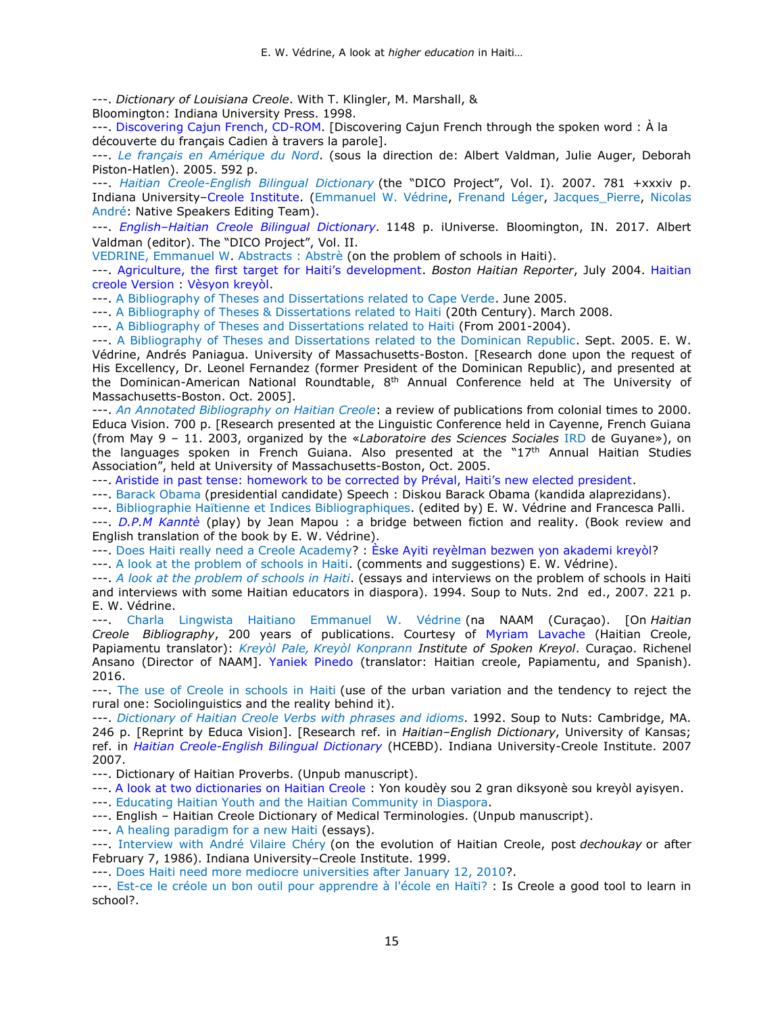---. *Dictionary of Louisiana Creole*. With T. Klingler, M. Marshall, &

Bloomington: Indiana University Press. 1998.

---. [Discovering Cajun French, CD-ROM.](http://www.indiana.edu/~creole/pdf/cdflyer.pdf) [Discovering Cajun French through the spoken word : À la découverte du français Cadien à travers la parole].

---. *Le français en [Amérique](http://www.pulaval.com/catalogue/francais-amerique-nord-etat-present-8726.html?q=francais+en+amerique+du+nord&format) du Nord*. (sous la direction de: Albert Valdman, Julie Auger, Deborah Piston-Hatlen). 2005. 592 p.

---. *[Haitian Creole-English Bilingual Dictionary](http://www.potomitan.info/vedrine/dictionary.php)* (the "DICO Project", Vol. I). 2007. 781 +xxxiv p. Indiana University–Creole [Institute.](http://www.indiana.edu/~creole/index.shtml) [\(Emmanuel W. Védrine,](https://www.potomitan.info/vedrine/index.php) [Frenand Léger,](https://www.potomitan.info/ayiti/leger/) [Jacques\\_Pierre,](https://www.potomitan.info/ayiti/pierre_jacques/) [Nicolas](https://www.potomitan.info/ayiti/nicolas_andre.php)  [André:](https://www.potomitan.info/ayiti/nicolas_andre.php) Native Speakers Editing Team).

---. *English–[Haitian Creole Bilingual Dictionary](http://www.potomitan.info/dictionnaire/haitian_creole.php)*. 1148 p. iUniverse. Bloomington, IN. 2017. Albert Valdman (editor). The "DICO Project", Vol. II.

[VEDRINE, Emmanuel](https://www.potomitan.info/vedrine/index.php) W. [Abstracts : Abstrè](http://www.potomitan.info/vedrine/abstract.php) (on the problem of schools in Haiti).

---. [Agriculture, the first target for Haiti's development](http://www.potomitan.info/vedrine/agriculture.pdf). *Boston Haitian Reporter*, July 2004. [Haitian](http://www.potomitan.info/vedrine/agrik.pdf)  [creole Version : Vèsyon kreyòl.](http://www.potomitan.info/vedrine/agrik.pdf)

---. [A Bibliography of Theses and Dissertations related to Cape Verde.](http://www.potomitan.info/vedrine/these_verde.php) June 2005.

---. [A Bibliography of Theses & Dissertations related to Haiti](http://www.potomitan.info/vedrine/bibliography.html) (20th Century). March 2008.

---. [A Bibliography of Theses and Dissertations related to Haiti](http://www.potomitan.info/vedrine/theses.php) (From 2001-2004).

---. [A Bibliography of Theses and Dissertations related to the Dominican Republic.](http://www.potomitan.info/bibliographie/dominicana/dominicana_biblio.php) Sept. 2005. E. W. Védrine, Andrés Paniagua. University of Massachusetts-Boston. [Research done upon the request of His Excellency, Dr. Leonel Fernandez (former President of the Dominican Republic), and presented at the [Dominican-American National Roundtable,](http://ndac-us.org/)  $8<sup>th</sup>$  Annual Conference held at The University of Massachusetts-Boston. Oct. 2005].

---. *[An Annotated Bibliography on Haitian Creole](http://www.potomitan.info/vedrine/vedrine1.php)*: a review of publications from colonial times to 2000. Educa Vision. 700 p. [Research presented at the Linguistic Conference held in Cayenne, French Guiana (from May 9 – 11. 2003, organized by the «*Laboratoire des Sciences Sociales* [IRD](http://guyane.ird.fr/) de Guyane»), on the languages spoken in French Guiana. Also presented at the "17th Annual [Haitian Studies](https://www.haitianstudies.org/)  [Association](https://www.haitianstudies.org/)", held at University of Massachusetts-Boston, Oct. 2005.

---. [Aristide in past tense: homework to be corrected by Préval, Haiti's new elected president](http://www.potomitan.info/vedrine/preval.php).

---. [Barack Obama](http://www.potomitan.info/vedrine/obama.php) (presidential candidate) Speech : Diskou Barack Obama (kandida alaprezidans).

---. [Bibliographie Haïtienne](http://www.potomitan.info/vedrine/bibliographie.php) et [Indices Bibliographiques.](http://www.potomitan.info/vedrine/indices.php) (edited by) E. W. Védrine and Francesca Palli.

---. *[D.P.M Kanntè](http://www.potomitan.info/vedrine/reyalite.php#e)* (play) by Jean Mapou : a bridge between fiction and reality. (Book review and English translation of the book by E. W. Védrine).

---. [Does Haiti really need a Creole Academy?](http://www.potomitan.info/vedrine/creole_academy.php) : [Èske Ayiti reyèlman bezwen yon akademi kreyòl?](http://www.potomitan.info/vedrine/akademi_kreyol.php)

---. [A look at the problem of schools in Haiti. \(c](http://www.potomitan.info/vedrine/school2.php)omments and suggestions) E. W. Védrine).

---. *[A look at the problem of schools in](http://www.potomitan.info/vedrine/abstract.php#2) Haiti*. (essays and interviews on the problem of schools in Haiti and interviews with some Haitian educators in diaspora). 1994. Soup to Nuts. 2nd ed., 2007. 221 p. E. W. Védrine.

---. [Charla Lingwista Haitiano Emmanuel W. Védrine](http://nostisia.com/curacao/23-lokal/1140-charla-lingwista-haitiano-emmanuel-vedrine-na-naam) (na NAAM (Curaçao). [On *[Haitian](http://www.potomitan.info/vedrine/vedrine1.php)  [Creole](http://www.potomitan.info/vedrine/vedrine1.php) Bibliography*, 200 years of publications. Courtesy of [Myriam Lavache](https://www.linkedin.com/in/myriam-lavache-a7390953) (Haitian Creole, Papiamentu translator): *Kreyòl Pale, [Kreyòl Konprann I](https://www.facebook.com/Curacaocreoleinstitute/)nstitute of Spoken Kreyol*. Curaçao. Richenel Ansano (Director of NAAM]. [Yaniek Pinedo](http://www.potomitan.info/questions/mouri.html#muriendo) (translator: Haitian creole, Papiamentu, and Spanish). 2016.

---. [The use of Creole in schools in](http://www.potomitan.info/vedrine/komante.html#a) Haiti (use of the urban variation and the tendency to reject the rural one: Sociolinguistics and the reality behind it).

---. *[Dictionary of Haitian Creole Verbs with phrases and idioms.](http://www.potomitan.info/vedrine/index.php#10)* 1992. Soup to Nuts: Cambridge, MA. 246 p. [Reprint by Educa Vision]. [Research ref. in *Haitian–English Dictionary*, University of Kansas; ref. in *[Haitian Creole-English Bilingual Dictionary](http://www.potomitan.info/vedrine/dictionary.php)* [\(HCEBD\)](http://www.indiana.edu/~creole/hcebd.shtml). Indiana University-Creole Institute. 2007 2007.

---. Dictionary of Haitian Proverbs. (Unpub manuscript).

---. [A look at two dictionaries on Haitian Creole :](http://www.potomitan.info/vedrine/diksyone.php) Yon koudèy sou 2 gran diksyonè sou kreyòl ayisyen.

---. [Educating Haitian Youth and the Haitian Community in Diaspora.](http://www.potomitan.info/vedrine/youth.php)

---. English – Haitian Creole Dictionary of [Medical Terminologies.](http://www.potomitan.info/vedrine/medical.php) (Unpub manuscript).

---. [A healing paradigm for a new Haiti](http://www.potomitan.info/vedrine/EVpub.pdf) (essays).

---. [Interview with André Vilaire Chéry](http://www.potomitan.info/vedrine/chery.php) (on the evolution of Haitian Creole, post *dechoukay* or after February 7, 1986). Indiana University–Creole Institute. 1999.

---. [Does Haiti need more mediocre universities after January 12, 2010?](http://www.potomitan.info/vedrine/inivesite.php).

---. [Est-ce le créole un bon outil pour apprendre à l'école en Haïti?](http://www.potomitan.info/vedrine/zouti.php) : Is Creole a good tool to learn in school?.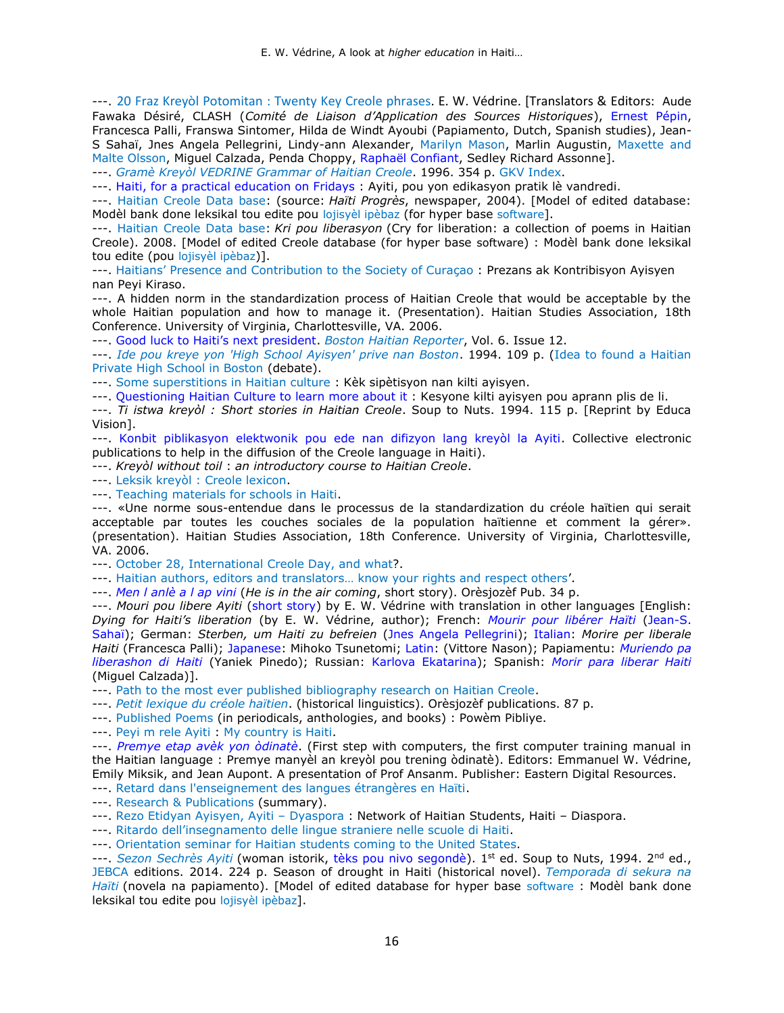---. [20 Fraz Kreyòl Potomitan : Twenty Key Creole phrases.](http://www.potomitan.info/vedrine/fraz.php) E. W. Védrine. [Translators & Editors: Aude Fawaka Désiré, CLASH (*Comité de Liaison d'Application des Sources Historiques*), [Ernest](http://www.potomitan.info/bibliographie/pepin/index.php) Pépin, Francesca Palli, Franswa Sintomer, Hilda de Windt Ayoubi (Papiamento, Dutch, Spanish studies), [Jean-](https://www.potomitan.info/sahai/)[S Sahaï,](https://www.potomitan.info/sahai/) Jnes Angela Pellegrini, Lindy-ann Alexander, [Marilyn Mason,](https://ht.wikipedia.org/wiki/Marilyn_Mason) Marlin Augustin, [Maxette and](https://www.potomitan.info/maxette/)  [Malte Olsson,](https://www.potomitan.info/maxette/) Miguel Calzada, Penda Choppy, [Raphaël Confiant,](http://www.potomitan.info/confiant/index.php) Sedley Richard Assonne].

---. *[Gramè Kreyòl VEDRINE Grammar of Haitian Creole](http://www.potomitan.info/vedrine/index.php#15)*. 1996. 354 p. [GKV Index.](https://www.potomitan.info/vedrine/grame.php)

---. [Haiti, for a practical education on Fridays](http://www.potomitan.info/vedrine/vandredi.php#a) : Ayiti, pou yon edikasyon pratik lè vandredi.

---. [Haitian Creole Data base:](http://www.potomitan.info/vedrine/progres.pdf) (source: *Haïti Progrès*, newspaper, 2004). [Model of edited database: Modèl bank done leksikal tou edite pou [lojisyèl](http://www.linkedin.com/in/jeffallen) ipèbaz (for hyper base [software](http://www.linkedin.com/in/jeffallen)].

---. [Haitian Creole Data base:](http://www.potomitan.info/vedrine/d-base_kri.pdf) *Kri pou liberasyon* (Cry for liberation: a collection of poems in Haitian Creole). 2008. [Model of edited Creole database (for hyper base [software](http://www.linkedin.com/in/jeffallen)) : Modèl bank done leksikal tou edite (pou [lojisyèl](http://www.linkedin.com/in/jeffallen) ipèbaz)].

---. Haitians' [Presence and Contribution to the Society of Curaçao](http://www.potomitan.info/vedrine/curacao_contribution.php) : Prezans ak Kontribisyon Ayisyen nan Peyi Kiraso.

---. A hidden norm in the standardization process of Haitian Creole that would be acceptable by the whole Haitian population and how to manage it. (Presentation). Haitian Studies Association, 18th Conference. University of Virginia, Charlottesville, VA. 2006.

---. [Good luck to Haiti's next president](http://www.potomitan.info/vedrine/president.php). *[Boston Haitian Reporter](https://www.bostonhaitian.com/)*, Vol. 6. Issue 12.

---. *[Ide pou kreye yon 'High School Ayisyen' prive nan Boston](http://www.potomitan.info/vedrine/idepou.pdf)*. 1994. 109 p. [\(Idea to found a Haitian](http://www.potomitan.info/vedrine/abstract.php#3)  [Private High School in Boston](http://www.potomitan.info/vedrine/abstract.php#3) (debate).

---. [Some superstitions in Haitian culture](http://www.potomitan.info/vedrine/sipetisyon.pdf) : Kèk sipètisyon nan kilti ayisyen.

---. [Questioning Haitian Culture to learn more about it :](http://www.potomitan.info/vedrine/kilti2.php) Kesyone kilti ayisyen pou aprann plis de li. ---. *Ti istwa kreyòl : Short stories in Haitian Creole*. Soup to Nuts. 1994. 115 p. [Reprint by Educa Vision].

---. [Konbit piblikasyon elektwonik pou ede nan difizyon lang kreyòl la Ayiti.](http://www.potomitan.info/vedrine/konbit.php) Collective electronic publications to help in the diffusion of the Creole language in Haiti).

---. *Kreyòl without toil* : *[an introductory course to Haitian Creole](https://www.potomitan.info/vedrine/toil.php)*.

---. [Leksik kreyòl : Creole lexicon.](https://www.potomitan.info/vedrine/leksik.pdf)

---. [Teaching materials for schools in Haiti.](http://www.potomitan.info/vedrine/lekol.php)

---. «Une norme sous-entendue dans le processus de la standardization du créole haïtien qui serait acceptable par toutes les couches sociales de la population haïtienne et comment la gérer». (presentation). Haitian Studies Association, 18th Conference. University of Virginia, Charlottesville, VA. 2006.

---. [October 28, International Creole Day, and](http://www.potomitan.info/vedrine/28-oktob.php) what?.

---. [Haitian authors, editors and translators… know your rights and respect others'](http://www.potomitan.info/vedrine/ote.php).

---. *[Men l anlè a l ap vini](http://www.potomitan.info/vedrine/anle.pdf)* (*He is in the air coming*, short story). Orèsjozèf Pub. 34 p.

---. *Mouri pou libere Ayiti* [\(short story\)](http://www.potomitan.info/questions/mouri.html) by E. W. Védrine with translation in other languages [English: *Dying for Haiti's liberation* (by E. W. Védrine, author); French: *[Mourir pour libérer Haïti](http://www.potomitan.info/questions/mouri.html#m)* [\(Jean-S.](https://www.potomitan.info/sahai/)  [Sahaï\)](https://www.potomitan.info/sahai/); German: *Sterben, um Haiti zu befreien* [\(Jnes Angela Pellegrini\)](http://www.potomitan.info/questions/mouri.html#sterben); [Italian:](http://www.potomitan.info/questions/mouri.html#morire) *Morire per liberale Haiti* (Francesca Palli); [Japanese:](http://www.potomitan.info/questions/mouri_jap.html) Mihoko Tsunetomi; [Latin:](http://www.potomitan.info/questions/mouri.html#mori) (Vittore Nason); Papiamentu: *[Muriendo pa](http://www.potomitan.info/questions/mouri.html#muriendo)  [liberashon di Haiti](http://www.potomitan.info/questions/mouri.html#muriendo)* (Yaniek Pinedo); Russian: [Karlova Ekatarina\)](http://www.potomitan.info/questions/mouri_russe.html); Spanish: *[Morir para liberar Haiti](http://www.potomitan.info/questions/mouri.html#morir)* (Miguel Calzada)].

---. [Path to the most ever published bibliography research on Haitian Creole.](http://www.potomitan.info/vedrine/path2.php)

---. *[Petit lexique du créole haïtien](http://www.potomitan.info/vedrine/lexique.php)*. (historical linguistics). Orèsjozèf publications. 87 p.

---. [Published Poems](http://www.potomitan.info/vedrine/powem.php) (in periodicals, anthologies, and books) : Powèm Pibliye.

---. [Peyi m rele Ayiti](https://www.potomitan.info/vedrine/peyi.php) : [My country is Haiti.](https://www.potomitan.info/vedrine/peyi2.php)

---. *[Premye etap avèk yon òdinatè](http://www.potomitan.info/bibliographie/odinate.php)*. (First step with computers, the first computer training manual in the Haitian language : Premye manyèl an kreyòl pou trening òdinatè). Editors: Emmanuel W. Védrine, Emily Miksik, and Jean Aupont. A presentation of Prof Ansanm. Publisher: Eastern Digital Resources.

---. [Retard dans l'enseignement des langues étrangères en Haïti.](http://www.potomitan.info/vedrine/reta2.php)

---. [Research & Publications](http://www.potomitan.info/vedrine/summary.php) (summary).

---. [Rezo Etidyan Ayisyen, Ayiti](http://www.potomitan.info/vedrine/rezo.php) – Dyaspora : Network of Haitian Students, Haiti – Diaspora.

---. [Ritardo dell'insegnamento delle lingue straniere nelle scuole di Ha](http://www.potomitan.info/vedrine/reta3.php)iti.

---. [Orientation seminar for Haitian students coming to the United States.](http://www.potomitan.info/vedrine/orientation_k.php)

---. *[Sezon Sechrès Ayiti](http://www.potomitan.info/vedrine/sezon_secheres.php)* (woman istorik, [tèks pou nivo segondè\)](http://www.potomitan.info/vedrine/sezon.pdf). 1st ed. Soup to Nuts, 1994. 2nd ed., [JEBCA e](https://www.jebcaeditions.org/index.html)ditions. 2014. 224 p. Season of drought in Haiti (historical novel). *[Temporada di sekura na](http://www.potomitan.info/vedrine/temporada.php)  [Haïti](http://www.potomitan.info/vedrine/temporada.php)* (novela na papiamento). [Model of edited database for hyper base [software](http://www.linkedin.com/in/jeffallen) : Modèl bank done leksikal tou edite pou [lojisyèl](http://www.linkedin.com/in/jeffallen) ipèbaz].